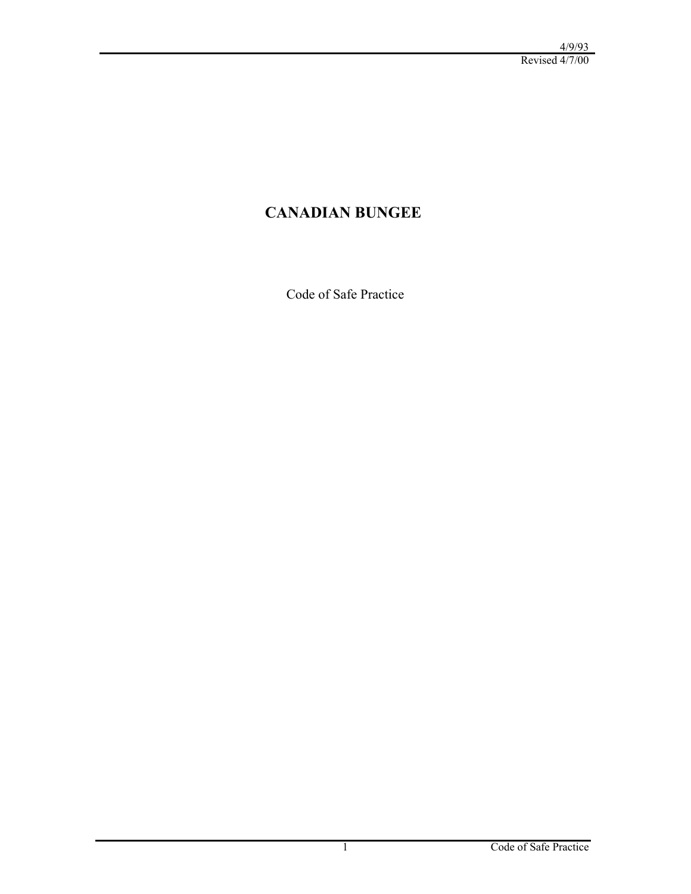# **CANADIAN BUNGEE**

Code of Safe Practice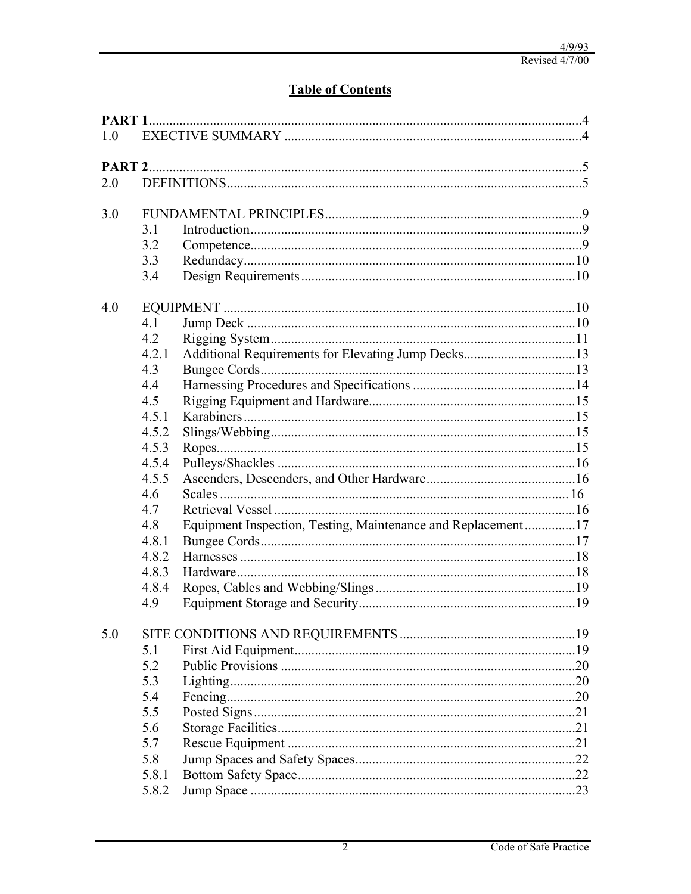# **Table of Contents**

| 1.0 |       |                                                              |  |  |
|-----|-------|--------------------------------------------------------------|--|--|
|     |       |                                                              |  |  |
| 2.0 |       |                                                              |  |  |
|     |       |                                                              |  |  |
| 3.0 |       |                                                              |  |  |
|     | 3.1   |                                                              |  |  |
|     | 3.2   |                                                              |  |  |
|     | 3.3   |                                                              |  |  |
|     | 3.4   |                                                              |  |  |
| 4.0 |       |                                                              |  |  |
|     | 4.1   |                                                              |  |  |
|     | 4.2   |                                                              |  |  |
|     | 4.2.1 | Additional Requirements for Elevating Jump Decks13           |  |  |
|     | 4.3   |                                                              |  |  |
|     | 4.4   |                                                              |  |  |
|     | 4.5   |                                                              |  |  |
|     | 4.5.1 |                                                              |  |  |
|     | 4.5.2 |                                                              |  |  |
|     | 4.5.3 |                                                              |  |  |
|     | 4.5.4 |                                                              |  |  |
|     | 4.5.5 |                                                              |  |  |
|     | 4.6   |                                                              |  |  |
|     | 4.7   |                                                              |  |  |
|     | 4.8   | Equipment Inspection, Testing, Maintenance and Replacement17 |  |  |
|     | 4.8.1 |                                                              |  |  |
|     | 4.8.2 |                                                              |  |  |
|     | 4.8.3 |                                                              |  |  |
|     | 4.8.4 |                                                              |  |  |
|     | 4.9   |                                                              |  |  |
|     |       |                                                              |  |  |
| 5.0 |       |                                                              |  |  |
|     | 5.1   |                                                              |  |  |
|     | 5.2   |                                                              |  |  |
|     | 5.3   |                                                              |  |  |
|     | 5.4   |                                                              |  |  |
|     | 5.5   |                                                              |  |  |
|     | 5.6   |                                                              |  |  |
|     | 5.7   |                                                              |  |  |
|     | 5.8   |                                                              |  |  |
|     | 5.8.1 |                                                              |  |  |
|     | 5.8.2 |                                                              |  |  |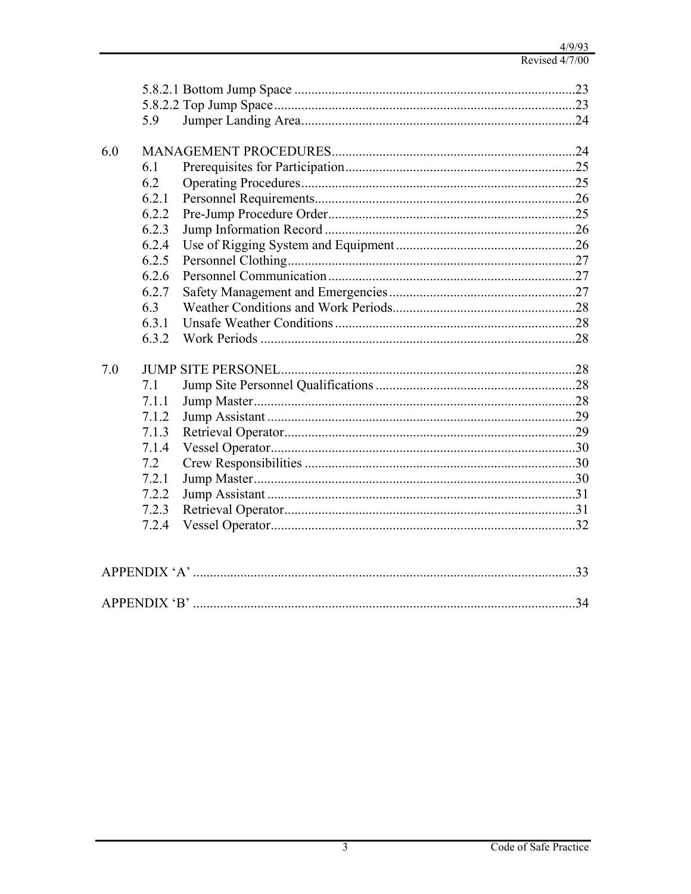|     | 5.9   |  |    |  |
|-----|-------|--|----|--|
| 6.0 |       |  |    |  |
|     | 6.1   |  |    |  |
|     | 6.2   |  |    |  |
|     | 6.2.1 |  |    |  |
|     | 6.2.2 |  |    |  |
|     | 6.2.3 |  |    |  |
|     | 6.2.4 |  |    |  |
|     | 6.2.5 |  |    |  |
|     | 6.2.6 |  |    |  |
|     | 6.2.7 |  |    |  |
|     | 6.3   |  |    |  |
|     | 6.3.1 |  |    |  |
|     | 6.3.2 |  |    |  |
| 7.0 |       |  |    |  |
|     | 7.1   |  |    |  |
|     | 7.1.1 |  |    |  |
|     | 7.1.2 |  |    |  |
|     | 7.1.3 |  |    |  |
|     | 7.1.4 |  |    |  |
|     | 7.2   |  |    |  |
|     | 7.2.1 |  |    |  |
|     | 7.2.2 |  |    |  |
|     | 7.2.3 |  |    |  |
|     | 7.2.4 |  |    |  |
|     |       |  |    |  |
|     |       |  |    |  |
|     |       |  |    |  |
|     |       |  | 34 |  |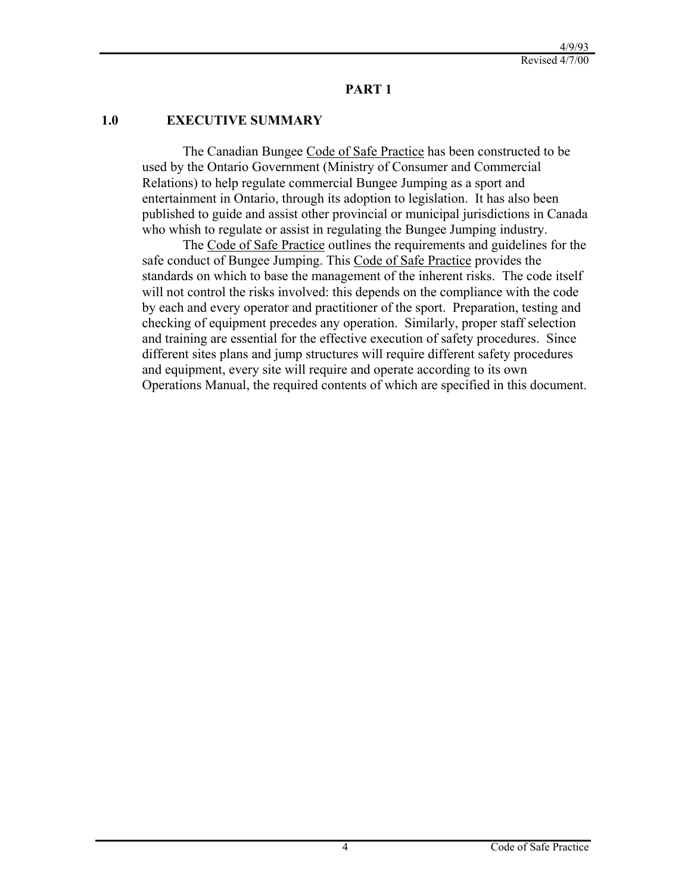#### **PART 1**

#### **1.0 EXECUTIVE SUMMARY**

The Canadian Bungee Code of Safe Practice has been constructed to be used by the Ontario Government (Ministry of Consumer and Commercial Relations) to help regulate commercial Bungee Jumping as a sport and entertainment in Ontario, through its adoption to legislation. It has also been published to guide and assist other provincial or municipal jurisdictions in Canada who whish to regulate or assist in regulating the Bungee Jumping industry.

The Code of Safe Practice outlines the requirements and guidelines for the safe conduct of Bungee Jumping. This Code of Safe Practice provides the standards on which to base the management of the inherent risks. The code itself will not control the risks involved: this depends on the compliance with the code by each and every operator and practitioner of the sport. Preparation, testing and checking of equipment precedes any operation. Similarly, proper staff selection and training are essential for the effective execution of safety procedures. Since different sites plans and jump structures will require different safety procedures and equipment, every site will require and operate according to its own Operations Manual, the required contents of which are specified in this document.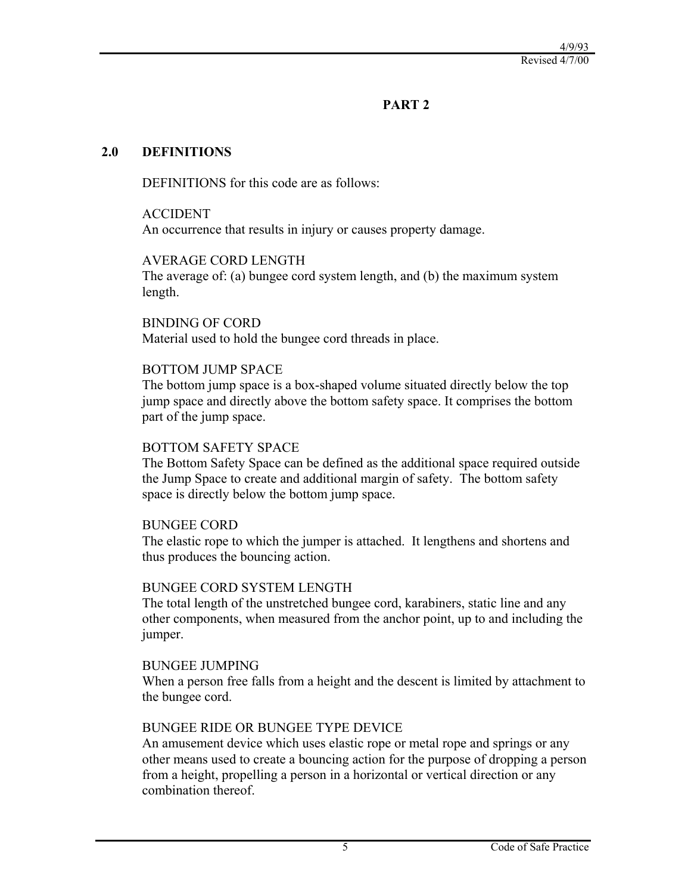## **PART 2**

#### **2.0 DEFINITIONS**

DEFINITIONS for this code are as follows:

ACCIDENT An occurrence that results in injury or causes property damage.

#### AVERAGE CORD LENGTH

The average of: (a) bungee cord system length, and (b) the maximum system length.

BINDING OF CORD Material used to hold the bungee cord threads in place.

#### BOTTOM JUMP SPACE

The bottom jump space is a box-shaped volume situated directly below the top jump space and directly above the bottom safety space. It comprises the bottom part of the jump space.

#### BOTTOM SAFETY SPACE

The Bottom Safety Space can be defined as the additional space required outside the Jump Space to create and additional margin of safety. The bottom safety space is directly below the bottom jump space.

#### BUNGEE CORD

The elastic rope to which the jumper is attached. It lengthens and shortens and thus produces the bouncing action.

#### BUNGEE CORD SYSTEM LENGTH

The total length of the unstretched bungee cord, karabiners, static line and any other components, when measured from the anchor point, up to and including the jumper.

#### **BUNGEE JUMPING**

When a person free falls from a height and the descent is limited by attachment to the bungee cord.

#### BUNGEE RIDE OR BUNGEE TYPE DEVICE

An amusement device which uses elastic rope or metal rope and springs or any other means used to create a bouncing action for the purpose of dropping a person from a height, propelling a person in a horizontal or vertical direction or any combination thereof.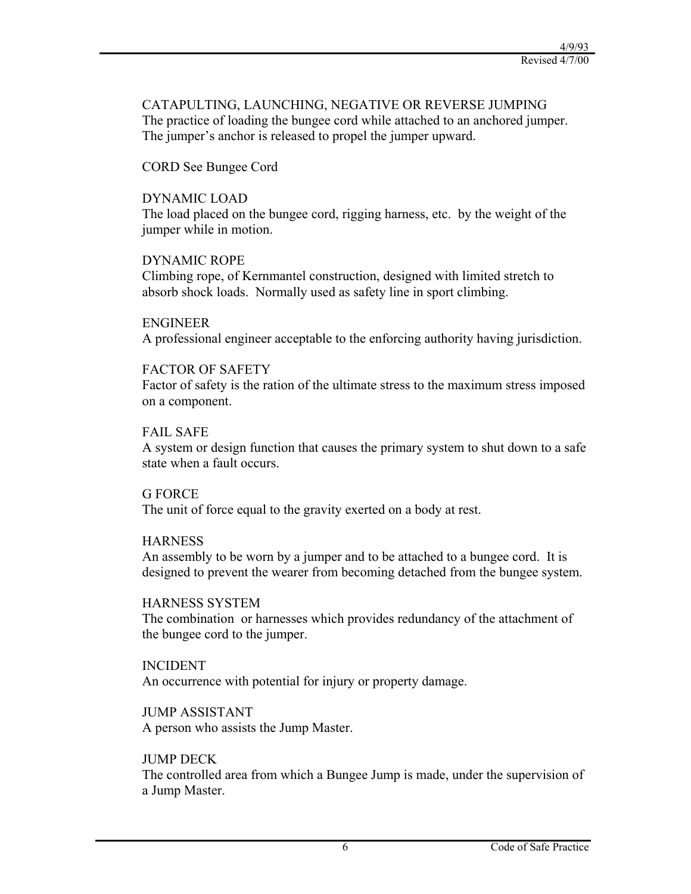#### CATAPULTING, LAUNCHING, NEGATIVE OR REVERSE JUMPING The practice of loading the bungee cord while attached to an anchored jumper. The jumper's anchor is released to propel the jumper upward.

#### CORD See Bungee Cord

#### DYNAMIC LOAD

The load placed on the bungee cord, rigging harness, etc. by the weight of the jumper while in motion.

#### DYNAMIC ROPE

Climbing rope, of Kernmantel construction, designed with limited stretch to absorb shock loads. Normally used as safety line in sport climbing.

#### ENGINEER

A professional engineer acceptable to the enforcing authority having jurisdiction.

#### FACTOR OF SAFETY

Factor of safety is the ration of the ultimate stress to the maximum stress imposed on a component.

#### FAIL SAFE

A system or design function that causes the primary system to shut down to a safe state when a fault occurs.

#### G FORCE

The unit of force equal to the gravity exerted on a body at rest.

#### **HARNESS**

An assembly to be worn by a jumper and to be attached to a bungee cord. It is designed to prevent the wearer from becoming detached from the bungee system.

#### HARNESS SYSTEM

The combination or harnesses which provides redundancy of the attachment of the bungee cord to the jumper.

#### INCIDENT

An occurrence with potential for injury or property damage.

#### JUMP ASSISTANT

A person who assists the Jump Master.

#### JUMP DECK

The controlled area from which a Bungee Jump is made, under the supervision of a Jump Master.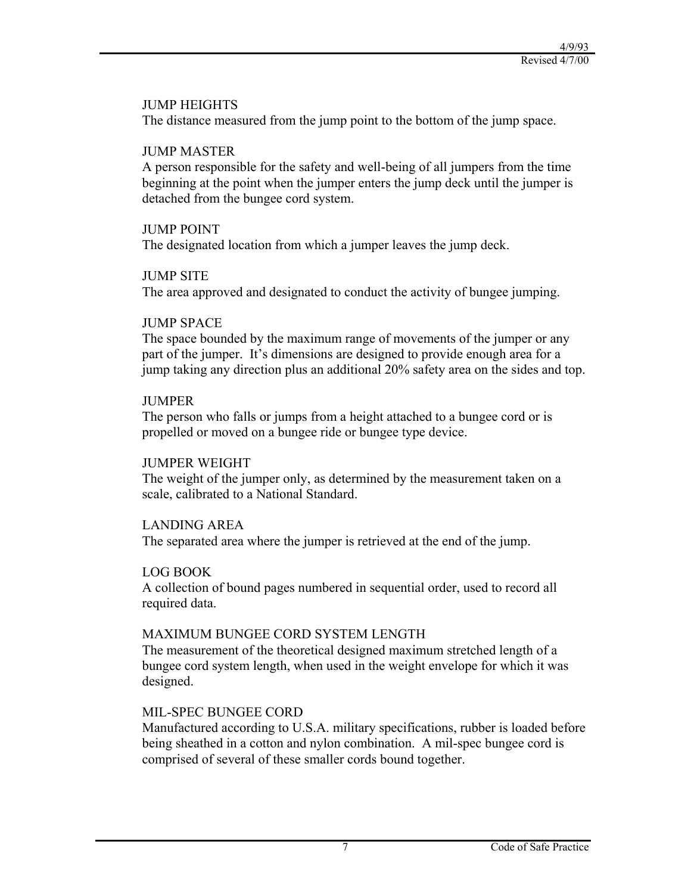#### JUMP HEIGHTS

The distance measured from the jump point to the bottom of the jump space.

#### JUMP MASTER

A person responsible for the safety and well-being of all jumpers from the time beginning at the point when the jumper enters the jump deck until the jumper is detached from the bungee cord system.

#### JUMP POINT

The designated location from which a jumper leaves the jump deck.

#### JUMP SITE

The area approved and designated to conduct the activity of bungee jumping.

#### JUMP SPACE

The space bounded by the maximum range of movements of the jumper or any part of the jumper. It's dimensions are designed to provide enough area for a jump taking any direction plus an additional 20% safety area on the sides and top.

#### **JUMPER**

The person who falls or jumps from a height attached to a bungee cord or is propelled or moved on a bungee ride or bungee type device.

#### JUMPER WEIGHT

The weight of the jumper only, as determined by the measurement taken on a scale, calibrated to a National Standard.

#### LANDING AREA

The separated area where the jumper is retrieved at the end of the jump.

#### LOG BOOK

A collection of bound pages numbered in sequential order, used to record all required data.

#### MAXIMUM BUNGEE CORD SYSTEM LENGTH

The measurement of the theoretical designed maximum stretched length of a bungee cord system length, when used in the weight envelope for which it was designed.

#### MIL-SPEC BUNGEE CORD

Manufactured according to U.S.A. military specifications, rubber is loaded before being sheathed in a cotton and nylon combination. A mil-spec bungee cord is comprised of several of these smaller cords bound together.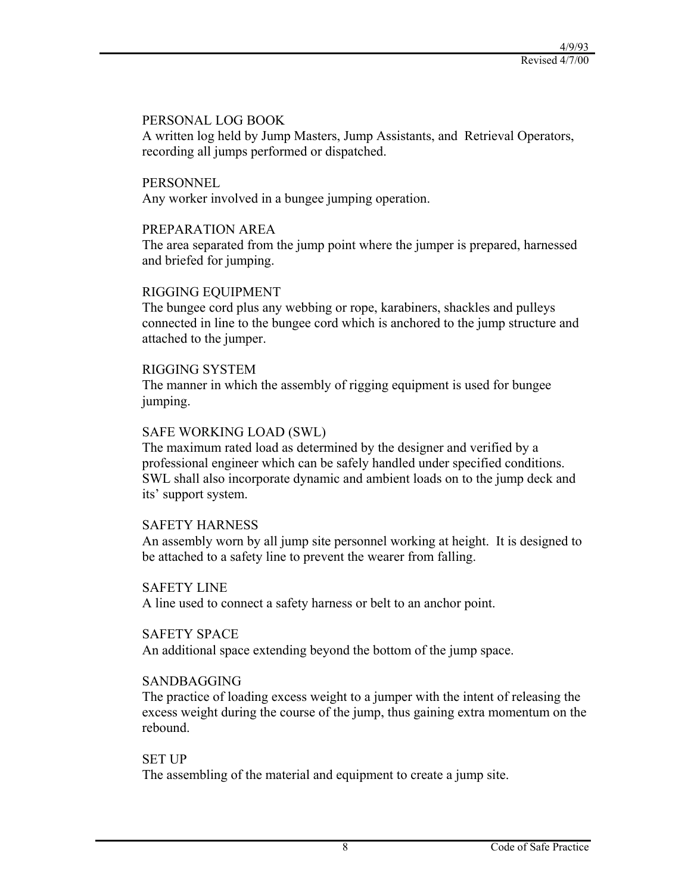#### PERSONAL LOG BOOK

A written log held by Jump Masters, Jump Assistants, and Retrieval Operators, recording all jumps performed or dispatched.

#### **PERSONNEL**

Any worker involved in a bungee jumping operation.

#### PREPARATION AREA

The area separated from the jump point where the jumper is prepared, harnessed and briefed for jumping.

#### RIGGING EQUIPMENT

The bungee cord plus any webbing or rope, karabiners, shackles and pulleys connected in line to the bungee cord which is anchored to the jump structure and attached to the jumper.

#### RIGGING SYSTEM

The manner in which the assembly of rigging equipment is used for bungee jumping.

#### SAFE WORKING LOAD (SWL)

The maximum rated load as determined by the designer and verified by a professional engineer which can be safely handled under specified conditions. SWL shall also incorporate dynamic and ambient loads on to the jump deck and its' support system.

#### SAFETY HARNESS

An assembly worn by all jump site personnel working at height. It is designed to be attached to a safety line to prevent the wearer from falling.

#### SAFETY LINE

A line used to connect a safety harness or belt to an anchor point.

#### SAFETY SPACE

An additional space extending beyond the bottom of the jump space.

#### SANDBAGGING

The practice of loading excess weight to a jumper with the intent of releasing the excess weight during the course of the jump, thus gaining extra momentum on the rebound.

#### SET UP

The assembling of the material and equipment to create a jump site.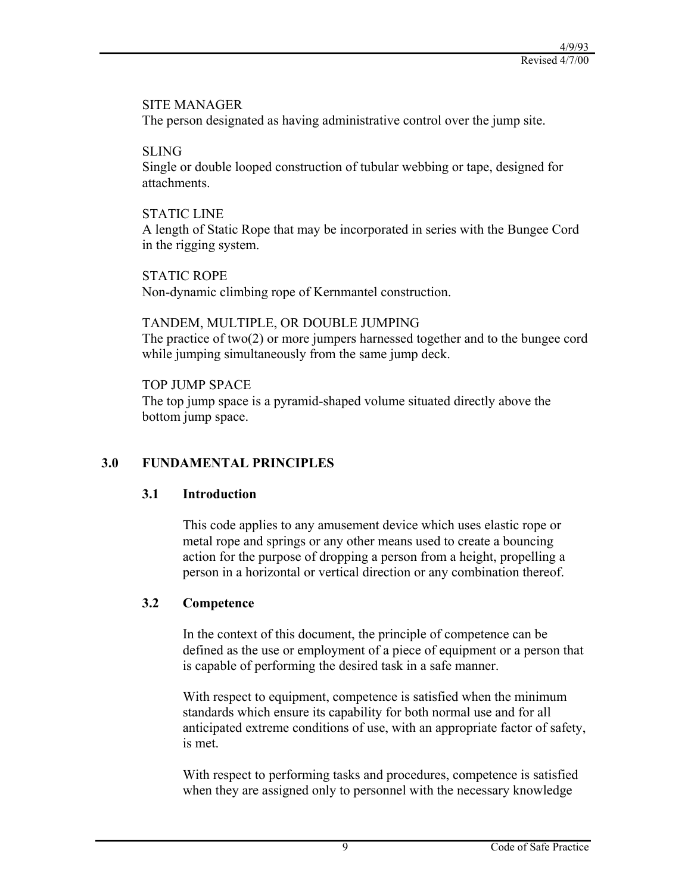#### SITE MANAGER

The person designated as having administrative control over the jump site.

## SLING

Single or double looped construction of tubular webbing or tape, designed for attachments.

## STATIC LINE

A length of Static Rope that may be incorporated in series with the Bungee Cord in the rigging system.

STATIC ROPE Non-dynamic climbing rope of Kernmantel construction.

## TANDEM, MULTIPLE, OR DOUBLE JUMPING

The practice of two(2) or more jumpers harnessed together and to the bungee cord while jumping simultaneously from the same jump deck.

## TOP **JUMP SPACE**

The top jump space is a pyramid-shaped volume situated directly above the bottom jump space.

## **3.0 FUNDAMENTAL PRINCIPLES**

## **3.1 Introduction**

This code applies to any amusement device which uses elastic rope or metal rope and springs or any other means used to create a bouncing action for the purpose of dropping a person from a height, propelling a person in a horizontal or vertical direction or any combination thereof.

## **3.2 Competence**

In the context of this document, the principle of competence can be defined as the use or employment of a piece of equipment or a person that is capable of performing the desired task in a safe manner.

With respect to equipment, competence is satisfied when the minimum standards which ensure its capability for both normal use and for all anticipated extreme conditions of use, with an appropriate factor of safety, is met.

With respect to performing tasks and procedures, competence is satisfied when they are assigned only to personnel with the necessary knowledge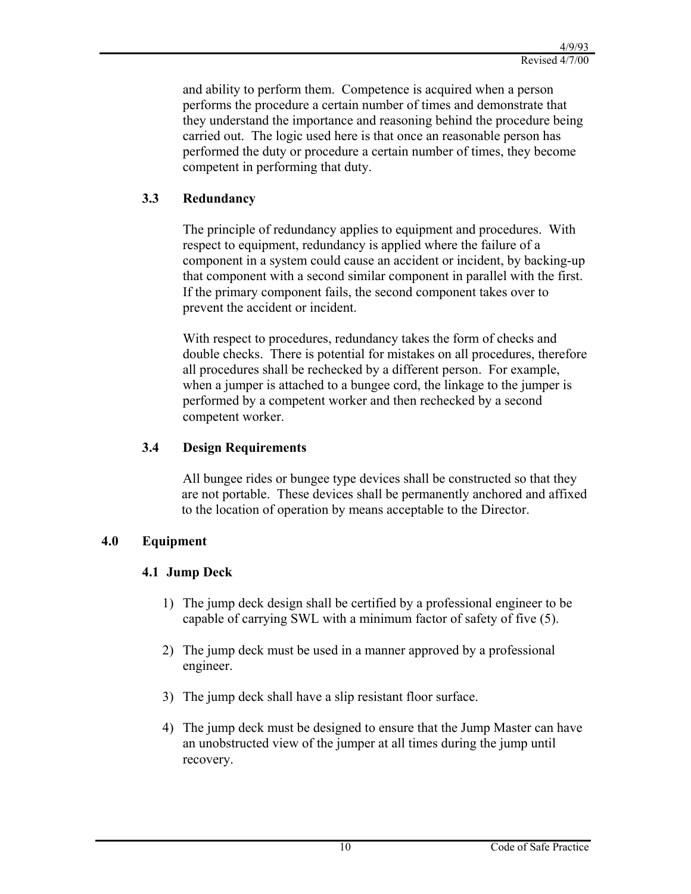and ability to perform them. Competence is acquired when a person performs the procedure a certain number of times and demonstrate that they understand the importance and reasoning behind the procedure being carried out. The logic used here is that once an reasonable person has performed the duty or procedure a certain number of times, they become competent in performing that duty.

## **3.3 Redundancy**

The principle of redundancy applies to equipment and procedures. With respect to equipment, redundancy is applied where the failure of a component in a system could cause an accident or incident, by backing-up that component with a second similar component in parallel with the first. If the primary component fails, the second component takes over to prevent the accident or incident.

With respect to procedures, redundancy takes the form of checks and double checks. There is potential for mistakes on all procedures, therefore all procedures shall be rechecked by a different person. For example, when a jumper is attached to a bungee cord, the linkage to the jumper is performed by a competent worker and then rechecked by a second competent worker.

#### **3.4 Design Requirements**

All bungee rides or bungee type devices shall be constructed so that they are not portable. These devices shall be permanently anchored and affixed to the location of operation by means acceptable to the Director.

#### **4.0 Equipment**

#### **4.1 Jump Deck**

- 1) The jump deck design shall be certified by a professional engineer to be capable of carrying SWL with a minimum factor of safety of five (5).
- 2) The jump deck must be used in a manner approved by a professional engineer.
- 3) The jump deck shall have a slip resistant floor surface.
- 4) The jump deck must be designed to ensure that the Jump Master can have an unobstructed view of the jumper at all times during the jump until recovery.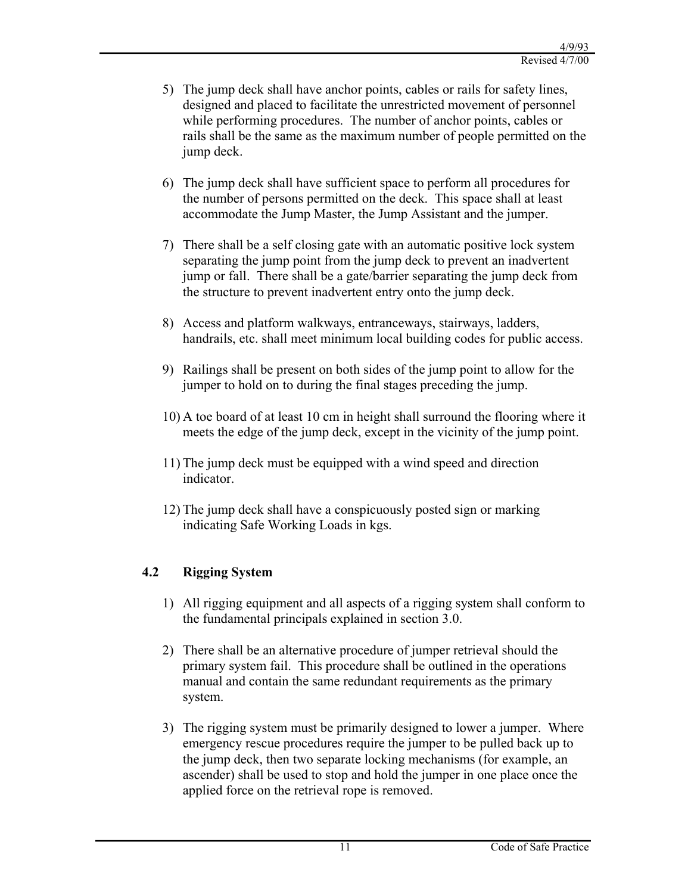- 5) The jump deck shall have anchor points, cables or rails for safety lines, designed and placed to facilitate the unrestricted movement of personnel while performing procedures. The number of anchor points, cables or rails shall be the same as the maximum number of people permitted on the jump deck.
- 6) The jump deck shall have sufficient space to perform all procedures for the number of persons permitted on the deck. This space shall at least accommodate the Jump Master, the Jump Assistant and the jumper.
- 7) There shall be a self closing gate with an automatic positive lock system separating the jump point from the jump deck to prevent an inadvertent jump or fall. There shall be a gate/barrier separating the jump deck from the structure to prevent inadvertent entry onto the jump deck.
- 8) Access and platform walkways, entranceways, stairways, ladders, handrails, etc. shall meet minimum local building codes for public access.
- 9) Railings shall be present on both sides of the jump point to allow for the jumper to hold on to during the final stages preceding the jump.
- 10) A toe board of at least 10 cm in height shall surround the flooring where it meets the edge of the jump deck, except in the vicinity of the jump point.
- 11) The jump deck must be equipped with a wind speed and direction indicator.
- 12) The jump deck shall have a conspicuously posted sign or marking indicating Safe Working Loads in kgs.

## **4.2 Rigging System**

- 1) All rigging equipment and all aspects of a rigging system shall conform to the fundamental principals explained in section 3.0.
- 2) There shall be an alternative procedure of jumper retrieval should the primary system fail. This procedure shall be outlined in the operations manual and contain the same redundant requirements as the primary system.
- 3) The rigging system must be primarily designed to lower a jumper. Where emergency rescue procedures require the jumper to be pulled back up to the jump deck, then two separate locking mechanisms (for example, an ascender) shall be used to stop and hold the jumper in one place once the applied force on the retrieval rope is removed.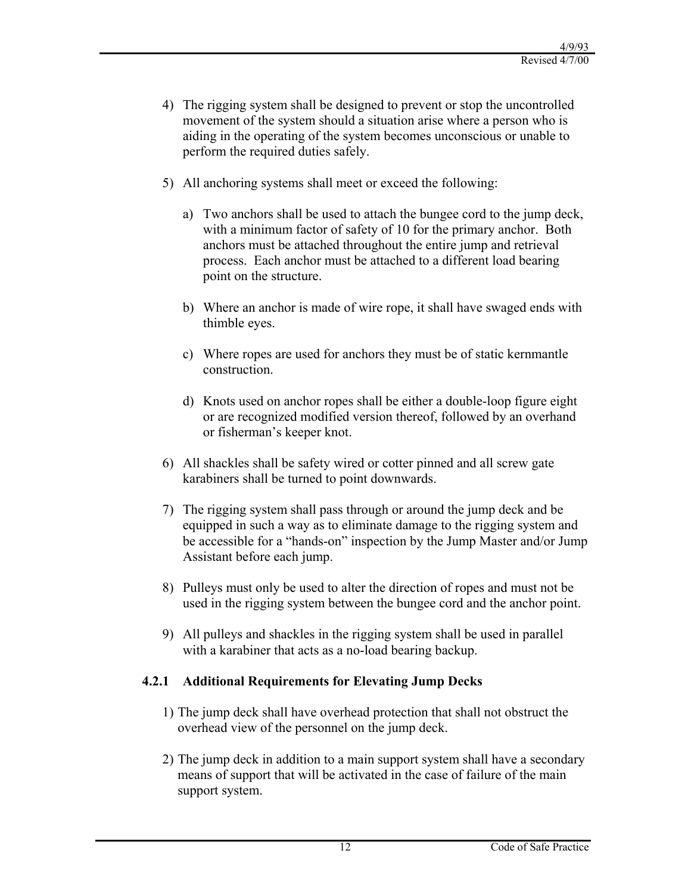- 4) The rigging system shall be designed to prevent or stop the uncontrolled movement of the system should a situation arise where a person who is aiding in the operating of the system becomes unconscious or unable to perform the required duties safely.
- 5) All anchoring systems shall meet or exceed the following:
	- a) Two anchors shall be used to attach the bungee cord to the jump deck, with a minimum factor of safety of 10 for the primary anchor. Both anchors must be attached throughout the entire jump and retrieval process. Each anchor must be attached to a different load bearing point on the structure.
	- b) Where an anchor is made of wire rope, it shall have swaged ends with thimble eyes.
	- c) Where ropes are used for anchors they must be of static kernmantle construction.
	- d) Knots used on anchor ropes shall be either a double-loop figure eight or are recognized modified version thereof, followed by an overhand or fisherman's keeper knot.
- 6) All shackles shall be safety wired or cotter pinned and all screw gate karabiners shall be turned to point downwards.
- 7) The rigging system shall pass through or around the jump deck and be equipped in such a way as to eliminate damage to the rigging system and be accessible for a "hands-on" inspection by the Jump Master and/or Jump Assistant before each jump.
- 8) Pulleys must only be used to alter the direction of ropes and must not be used in the rigging system between the bungee cord and the anchor point.
- 9) All pulleys and shackles in the rigging system shall be used in parallel with a karabiner that acts as a no-load bearing backup.

## **4.2.1 Additional Requirements for Elevating Jump Decks**

- 1) The jump deck shall have overhead protection that shall not obstruct the overhead view of the personnel on the jump deck.
- 2) The jump deck in addition to a main support system shall have a secondary means of support that will be activated in the case of failure of the main support system.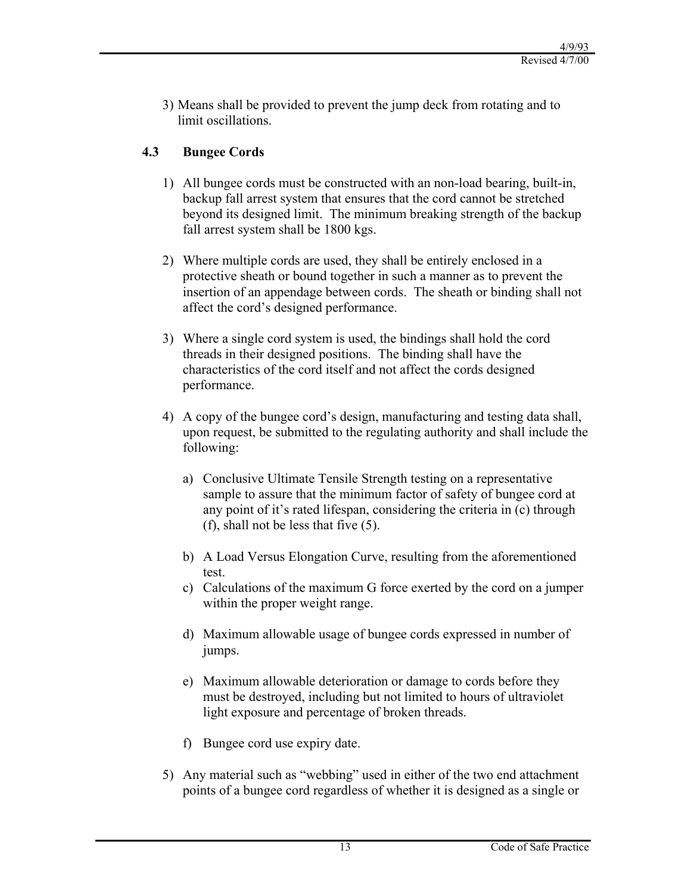3) Means shall be provided to prevent the jump deck from rotating and to limit oscillations.

## **4.3 Bungee Cords**

- 1) All bungee cords must be constructed with an non-load bearing, built-in, backup fall arrest system that ensures that the cord cannot be stretched beyond its designed limit. The minimum breaking strength of the backup fall arrest system shall be 1800 kgs.
- 2) Where multiple cords are used, they shall be entirely enclosed in a protective sheath or bound together in such a manner as to prevent the insertion of an appendage between cords. The sheath or binding shall not affect the cord's designed performance.
- 3) Where a single cord system is used, the bindings shall hold the cord threads in their designed positions. The binding shall have the characteristics of the cord itself and not affect the cords designed performance.
- 4) A copy of the bungee cord's design, manufacturing and testing data shall, upon request, be submitted to the regulating authority and shall include the following:
	- a) Conclusive Ultimate Tensile Strength testing on a representative sample to assure that the minimum factor of safety of bungee cord at any point of it's rated lifespan, considering the criteria in (c) through (f), shall not be less that five (5).
	- b) A Load Versus Elongation Curve, resulting from the aforementioned test.
	- c) Calculations of the maximum G force exerted by the cord on a jumper within the proper weight range.
	- d) Maximum allowable usage of bungee cords expressed in number of jumps.
	- e) Maximum allowable deterioration or damage to cords before they must be destroyed, including but not limited to hours of ultraviolet light exposure and percentage of broken threads.
	- f) Bungee cord use expiry date.
- 5) Any material such as "webbing" used in either of the two end attachment points of a bungee cord regardless of whether it is designed as a single or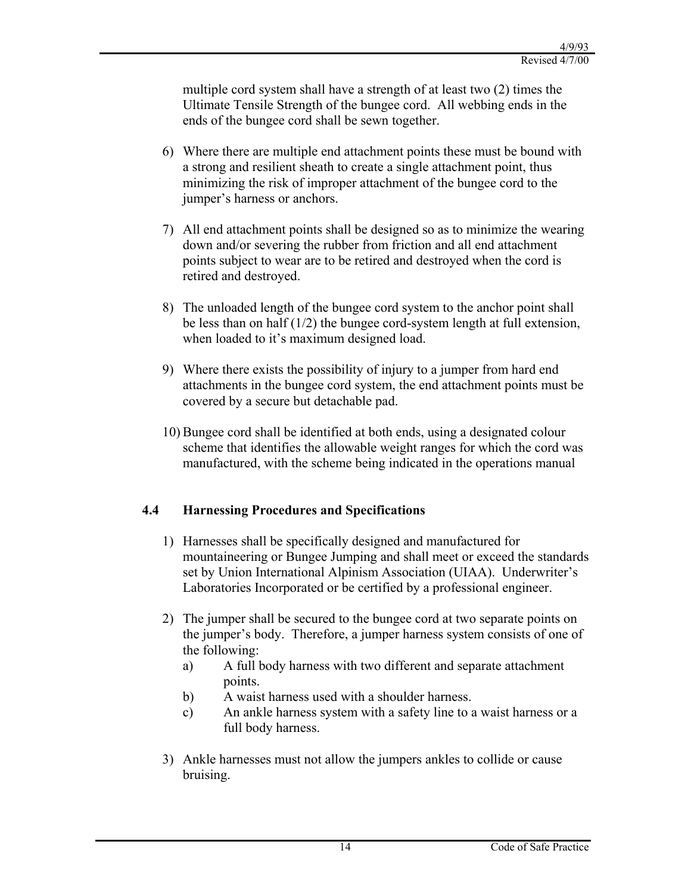multiple cord system shall have a strength of at least two (2) times the Ultimate Tensile Strength of the bungee cord. All webbing ends in the ends of the bungee cord shall be sewn together.

- 6) Where there are multiple end attachment points these must be bound with a strong and resilient sheath to create a single attachment point, thus minimizing the risk of improper attachment of the bungee cord to the jumper's harness or anchors.
- 7) All end attachment points shall be designed so as to minimize the wearing down and/or severing the rubber from friction and all end attachment points subject to wear are to be retired and destroyed when the cord is retired and destroyed.
- 8) The unloaded length of the bungee cord system to the anchor point shall be less than on half (1/2) the bungee cord-system length at full extension, when loaded to it's maximum designed load.
- 9) Where there exists the possibility of injury to a jumper from hard end attachments in the bungee cord system, the end attachment points must be covered by a secure but detachable pad.
- 10) Bungee cord shall be identified at both ends, using a designated colour scheme that identifies the allowable weight ranges for which the cord was manufactured, with the scheme being indicated in the operations manual

## **4.4 Harnessing Procedures and Specifications**

- 1) Harnesses shall be specifically designed and manufactured for mountaineering or Bungee Jumping and shall meet or exceed the standards set by Union International Alpinism Association (UIAA). Underwriter's Laboratories Incorporated or be certified by a professional engineer.
- 2) The jumper shall be secured to the bungee cord at two separate points on the jumper's body. Therefore, a jumper harness system consists of one of the following:
	- a) A full body harness with two different and separate attachment points.
	- b) A waist harness used with a shoulder harness.
	- c) An ankle harness system with a safety line to a waist harness or a full body harness.
- 3) Ankle harnesses must not allow the jumpers ankles to collide or cause bruising.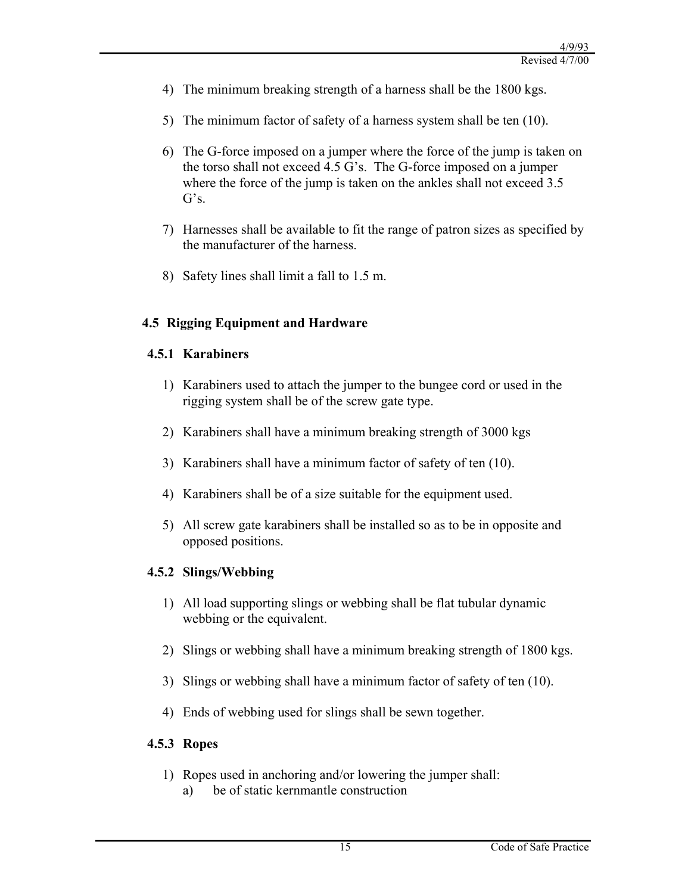- 4) The minimum breaking strength of a harness shall be the 1800 kgs.
- 5) The minimum factor of safety of a harness system shall be ten (10).
- 6) The G-force imposed on a jumper where the force of the jump is taken on the torso shall not exceed 4.5 G's. The G-force imposed on a jumper where the force of the jump is taken on the ankles shall not exceed 3.5 G's.
- 7) Harnesses shall be available to fit the range of patron sizes as specified by the manufacturer of the harness.
- 8) Safety lines shall limit a fall to 1.5 m.

## **4.5 Rigging Equipment and Hardware**

## **4.5.1 Karabiners**

- 1) Karabiners used to attach the jumper to the bungee cord or used in the rigging system shall be of the screw gate type.
- 2) Karabiners shall have a minimum breaking strength of 3000 kgs
- 3) Karabiners shall have a minimum factor of safety of ten (10).
- 4) Karabiners shall be of a size suitable for the equipment used.
- 5) All screw gate karabiners shall be installed so as to be in opposite and opposed positions.

## **4.5.2 Slings/Webbing**

- 1) All load supporting slings or webbing shall be flat tubular dynamic webbing or the equivalent.
- 2) Slings or webbing shall have a minimum breaking strength of 1800 kgs.
- 3) Slings or webbing shall have a minimum factor of safety of ten (10).
- 4) Ends of webbing used for slings shall be sewn together.

## **4.5.3 Ropes**

- 1) Ropes used in anchoring and/or lowering the jumper shall:
	- a) be of static kernmantle construction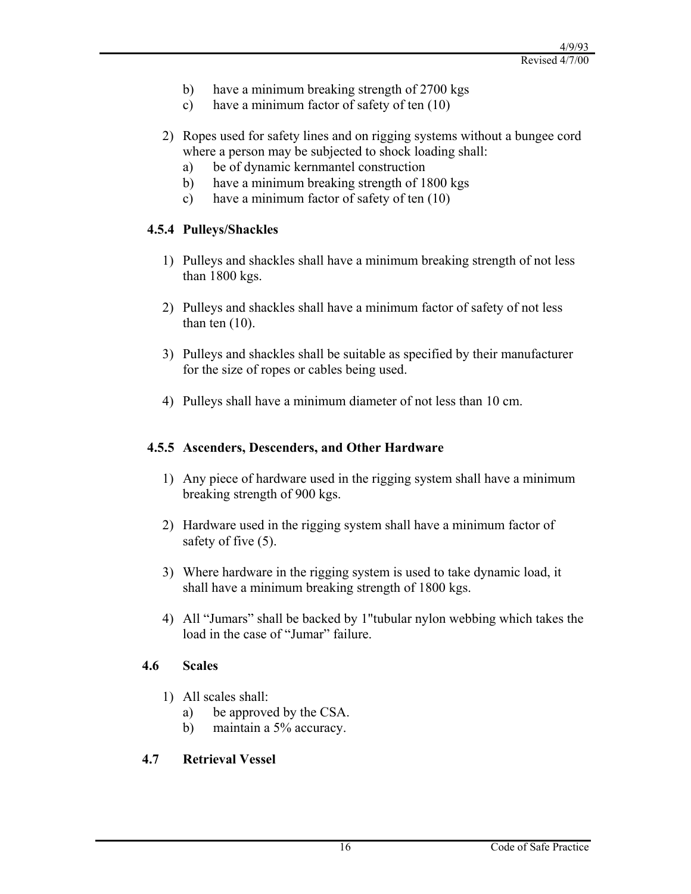- b) have a minimum breaking strength of 2700 kgs
- c) have a minimum factor of safety of ten (10)
- 2) Ropes used for safety lines and on rigging systems without a bungee cord where a person may be subjected to shock loading shall:
	- a) be of dynamic kernmantel construction
	- b) have a minimum breaking strength of 1800 kgs
	- c) have a minimum factor of safety of ten (10)

## **4.5.4 Pulleys/Shackles**

- 1) Pulleys and shackles shall have a minimum breaking strength of not less than 1800 kgs.
- 2) Pulleys and shackles shall have a minimum factor of safety of not less than ten  $(10)$ .
- 3) Pulleys and shackles shall be suitable as specified by their manufacturer for the size of ropes or cables being used.
- 4) Pulleys shall have a minimum diameter of not less than 10 cm.

## **4.5.5 Ascenders, Descenders, and Other Hardware**

- 1) Any piece of hardware used in the rigging system shall have a minimum breaking strength of 900 kgs.
- 2) Hardware used in the rigging system shall have a minimum factor of safety of five (5).
- 3) Where hardware in the rigging system is used to take dynamic load, it shall have a minimum breaking strength of 1800 kgs.
- 4) All "Jumars" shall be backed by 1"tubular nylon webbing which takes the load in the case of "Jumar" failure.

## **4.6 Scales**

- 1) All scales shall:
	- a) be approved by the CSA.
	- b) maintain a 5% accuracy.

## **4.7 Retrieval Vessel**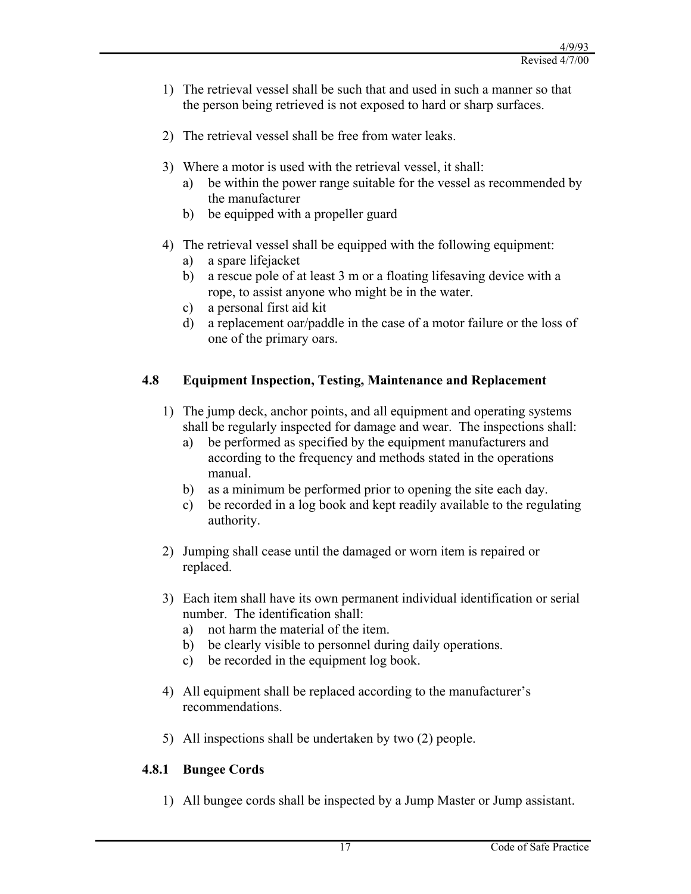- 1) The retrieval vessel shall be such that and used in such a manner so that the person being retrieved is not exposed to hard or sharp surfaces.
- 2) The retrieval vessel shall be free from water leaks.
- 3) Where a motor is used with the retrieval vessel, it shall:
	- a) be within the power range suitable for the vessel as recommended by the manufacturer
	- b) be equipped with a propeller guard
- 4) The retrieval vessel shall be equipped with the following equipment:
	- a) a spare lifejacket
	- b) a rescue pole of at least 3 m or a floating lifesaving device with a rope, to assist anyone who might be in the water.
	- c) a personal first aid kit
	- d) a replacement oar/paddle in the case of a motor failure or the loss of one of the primary oars.

## **4.8 Equipment Inspection, Testing, Maintenance and Replacement**

- 1) The jump deck, anchor points, and all equipment and operating systems shall be regularly inspected for damage and wear. The inspections shall:
	- a) be performed as specified by the equipment manufacturers and according to the frequency and methods stated in the operations manual.
	- b) as a minimum be performed prior to opening the site each day.
	- c) be recorded in a log book and kept readily available to the regulating authority.
- 2) Jumping shall cease until the damaged or worn item is repaired or replaced.
- 3) Each item shall have its own permanent individual identification or serial number. The identification shall:
	- a) not harm the material of the item.
	- b) be clearly visible to personnel during daily operations.
	- c) be recorded in the equipment log book.
- 4) All equipment shall be replaced according to the manufacturer's recommendations.
- 5) All inspections shall be undertaken by two (2) people.

## **4.8.1 Bungee Cords**

1) All bungee cords shall be inspected by a Jump Master or Jump assistant.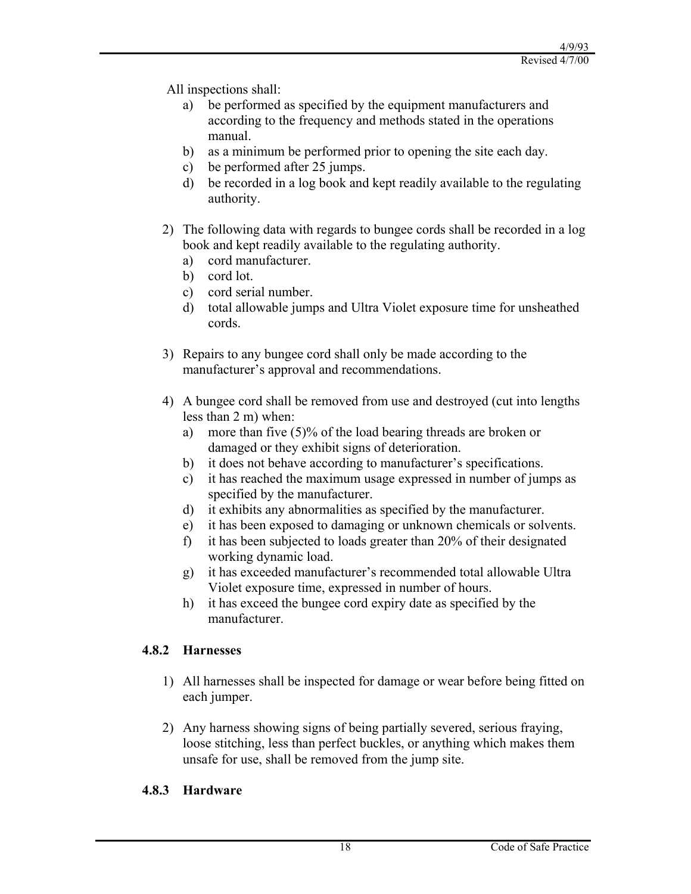All inspections shall:

- be performed as specified by the equipment manufacturers and according to the frequency and methods stated in the operations manual.
- b) as a minimum be performed prior to opening the site each day.
- c) be performed after 25 jumps.
- d) be recorded in a log book and kept readily available to the regulating authority.
- 2) The following data with regards to bungee cords shall be recorded in a log book and kept readily available to the regulating authority.
	- a) cord manufacturer.
	- b) cord lot.
	- c) cord serial number.
	- d) total allowable jumps and Ultra Violet exposure time for unsheathed cords.
- 3) Repairs to any bungee cord shall only be made according to the manufacturer's approval and recommendations.
- 4) A bungee cord shall be removed from use and destroyed (cut into lengths less than 2 m) when:
	- a) more than five (5)% of the load bearing threads are broken or damaged or they exhibit signs of deterioration.
	- b) it does not behave according to manufacturer's specifications.
	- c) it has reached the maximum usage expressed in number of jumps as specified by the manufacturer.
	- d) it exhibits any abnormalities as specified by the manufacturer.
	- e) it has been exposed to damaging or unknown chemicals or solvents.
	- f) it has been subjected to loads greater than 20% of their designated working dynamic load.
	- g) it has exceeded manufacturer's recommended total allowable Ultra Violet exposure time, expressed in number of hours.
	- h) it has exceed the bungee cord expiry date as specified by the manufacturer.

## **4.8.2 Harnesses**

- 1) All harnesses shall be inspected for damage or wear before being fitted on each jumper.
- 2) Any harness showing signs of being partially severed, serious fraying, loose stitching, less than perfect buckles, or anything which makes them unsafe for use, shall be removed from the jump site.

## **4.8.3 Hardware**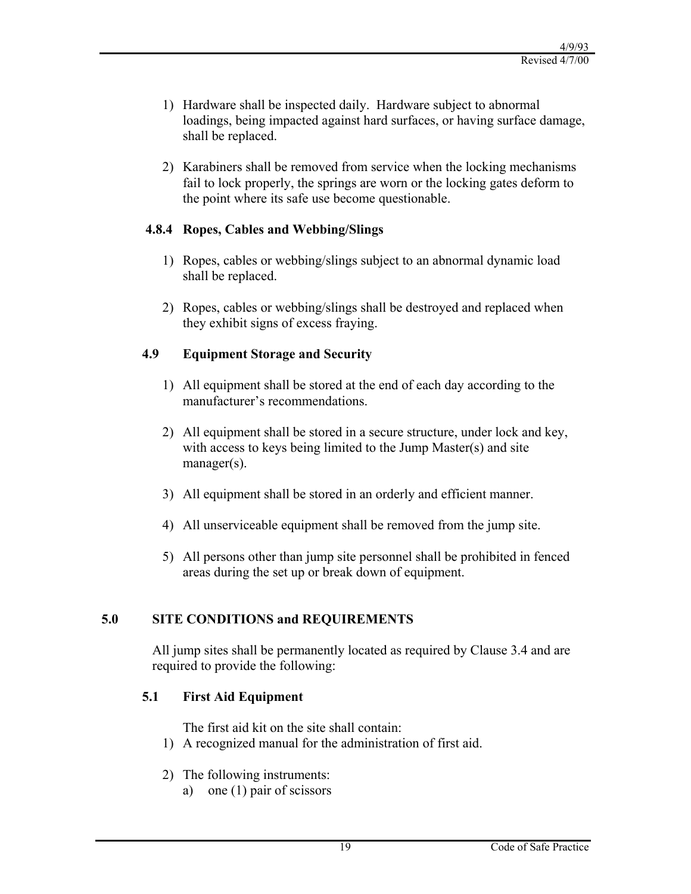- 1) Hardware shall be inspected daily. Hardware subject to abnormal loadings, being impacted against hard surfaces, or having surface damage, shall be replaced.
- 2) Karabiners shall be removed from service when the locking mechanisms fail to lock properly, the springs are worn or the locking gates deform to the point where its safe use become questionable.

## **4.8.4 Ropes, Cables and Webbing/Slings**

- 1) Ropes, cables or webbing/slings subject to an abnormal dynamic load shall be replaced.
- 2) Ropes, cables or webbing/slings shall be destroyed and replaced when they exhibit signs of excess fraying.

#### **4.9 Equipment Storage and Security**

- 1) All equipment shall be stored at the end of each day according to the manufacturer's recommendations.
- 2) All equipment shall be stored in a secure structure, under lock and key, with access to keys being limited to the Jump Master(s) and site manager(s).
- 3) All equipment shall be stored in an orderly and efficient manner.
- 4) All unserviceable equipment shall be removed from the jump site.
- 5) All persons other than jump site personnel shall be prohibited in fenced areas during the set up or break down of equipment.

## **5.0 SITE CONDITIONS and REQUIREMENTS**

All jump sites shall be permanently located as required by Clause 3.4 and are required to provide the following:

## **5.1 First Aid Equipment**

The first aid kit on the site shall contain:

- 1) A recognized manual for the administration of first aid.
- 2) The following instruments:
	- a) one (1) pair of scissors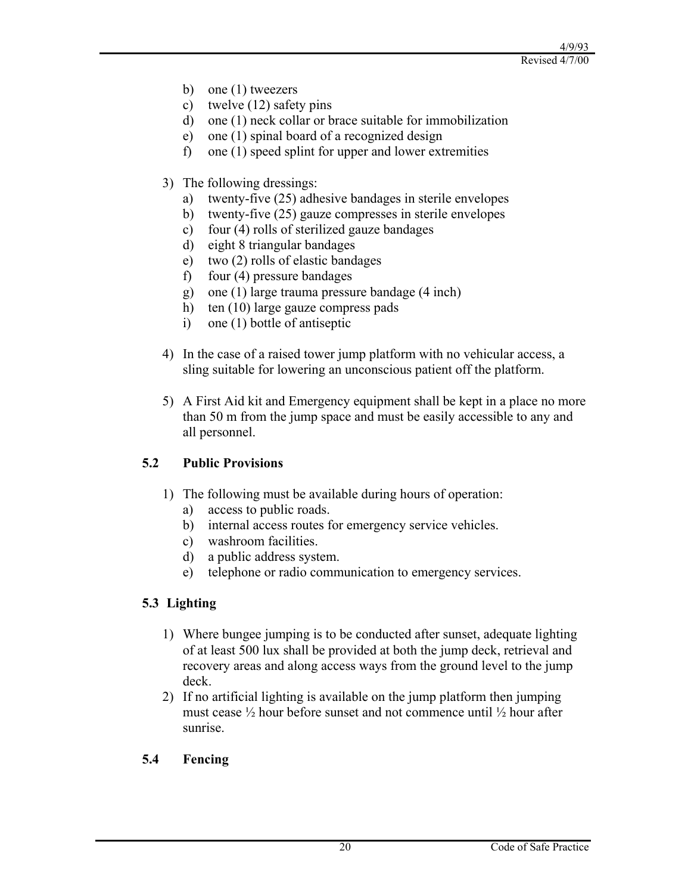- b) one (1) tweezers
- c) twelve (12) safety pins
- d) one (1) neck collar or brace suitable for immobilization
- e) one (1) spinal board of a recognized design
- f) one (1) speed splint for upper and lower extremities
- 3) The following dressings:
	- a) twenty-five (25) adhesive bandages in sterile envelopes
	- b) twenty-five (25) gauze compresses in sterile envelopes
	- c) four (4) rolls of sterilized gauze bandages
	- d) eight 8 triangular bandages
	- e) two (2) rolls of elastic bandages
	- f) four (4) pressure bandages
	- g) one (1) large trauma pressure bandage (4 inch)
	- h) ten (10) large gauze compress pads
	- i) one (1) bottle of antiseptic
- 4) In the case of a raised tower jump platform with no vehicular access, a sling suitable for lowering an unconscious patient off the platform.
- 5) A First Aid kit and Emergency equipment shall be kept in a place no more than 50 m from the jump space and must be easily accessible to any and all personnel.

## **5.2 Public Provisions**

- 1) The following must be available during hours of operation:
	- a) access to public roads.
	- b) internal access routes for emergency service vehicles.
	- c) washroom facilities.
	- d) a public address system.
	- e) telephone or radio communication to emergency services.

## **5.3 Lighting**

- 1) Where bungee jumping is to be conducted after sunset, adequate lighting of at least 500 lux shall be provided at both the jump deck, retrieval and recovery areas and along access ways from the ground level to the jump deck.
- 2) If no artificial lighting is available on the jump platform then jumping must cease ½ hour before sunset and not commence until ½ hour after sunrise.

## **5.4 Fencing**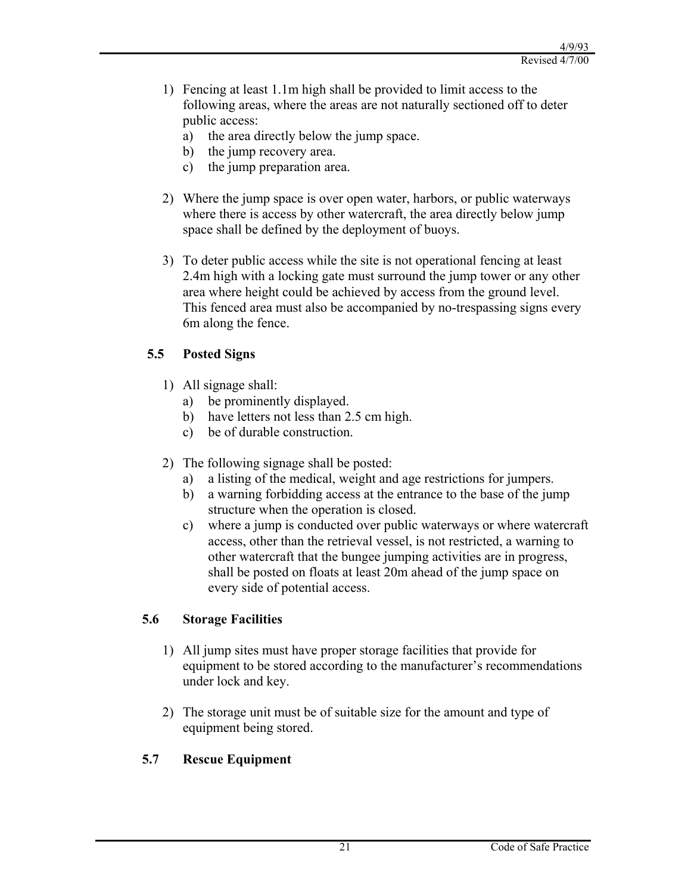- 1) Fencing at least 1.1m high shall be provided to limit access to the following areas, where the areas are not naturally sectioned off to deter public access:
	- a) the area directly below the jump space.
	- b) the jump recovery area.
	- c) the jump preparation area.
- 2) Where the jump space is over open water, harbors, or public waterways where there is access by other watercraft, the area directly below jump space shall be defined by the deployment of buoys.
- 3) To deter public access while the site is not operational fencing at least 2.4m high with a locking gate must surround the jump tower or any other area where height could be achieved by access from the ground level. This fenced area must also be accompanied by no-trespassing signs every 6m along the fence.

# **5.5 Posted Signs**

- 1) All signage shall:
	- a) be prominently displayed.
	- b) have letters not less than 2.5 cm high.
	- c) be of durable construction.
- 2) The following signage shall be posted:
	- a) a listing of the medical, weight and age restrictions for jumpers.
	- b) a warning forbidding access at the entrance to the base of the jump structure when the operation is closed.
	- c) where a jump is conducted over public waterways or where watercraft access, other than the retrieval vessel, is not restricted, a warning to other watercraft that the bungee jumping activities are in progress, shall be posted on floats at least 20m ahead of the jump space on every side of potential access.

## **5.6 Storage Facilities**

- 1) All jump sites must have proper storage facilities that provide for equipment to be stored according to the manufacturer's recommendations under lock and key.
- 2) The storage unit must be of suitable size for the amount and type of equipment being stored.

# **5.7 Rescue Equipment**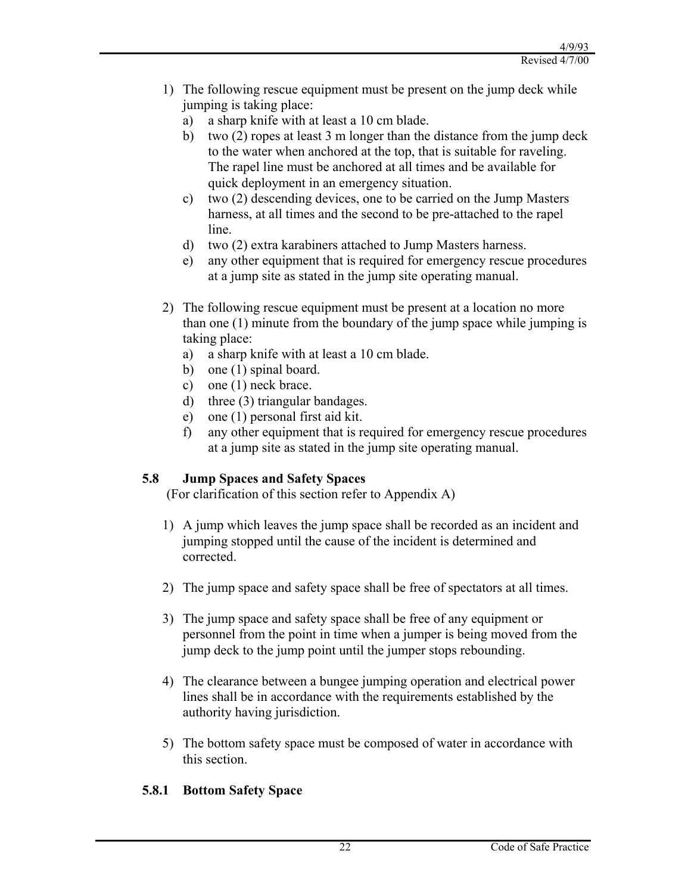- 1) The following rescue equipment must be present on the jump deck while jumping is taking place:
	- a) a sharp knife with at least a 10 cm blade.
	- b) two (2) ropes at least 3 m longer than the distance from the jump deck to the water when anchored at the top, that is suitable for raveling. The rapel line must be anchored at all times and be available for quick deployment in an emergency situation.
	- c) two (2) descending devices, one to be carried on the Jump Masters harness, at all times and the second to be pre-attached to the rapel line.
	- d) two (2) extra karabiners attached to Jump Masters harness.
	- e) any other equipment that is required for emergency rescue procedures at a jump site as stated in the jump site operating manual.
- 2) The following rescue equipment must be present at a location no more than one (1) minute from the boundary of the jump space while jumping is taking place:
	- a) a sharp knife with at least a 10 cm blade.
	- b) one (1) spinal board.
	- c) one (1) neck brace.
	- d) three (3) triangular bandages.
	- e) one (1) personal first aid kit.
	- f) any other equipment that is required for emergency rescue procedures at a jump site as stated in the jump site operating manual.

## **5.8 Jump Spaces and Safety Spaces**

(For clarification of this section refer to Appendix A)

- 1) A jump which leaves the jump space shall be recorded as an incident and jumping stopped until the cause of the incident is determined and corrected.
- 2) The jump space and safety space shall be free of spectators at all times.
- 3) The jump space and safety space shall be free of any equipment or personnel from the point in time when a jumper is being moved from the jump deck to the jump point until the jumper stops rebounding.
- 4) The clearance between a bungee jumping operation and electrical power lines shall be in accordance with the requirements established by the authority having jurisdiction.
- 5) The bottom safety space must be composed of water in accordance with this section.

## **5.8.1 Bottom Safety Space**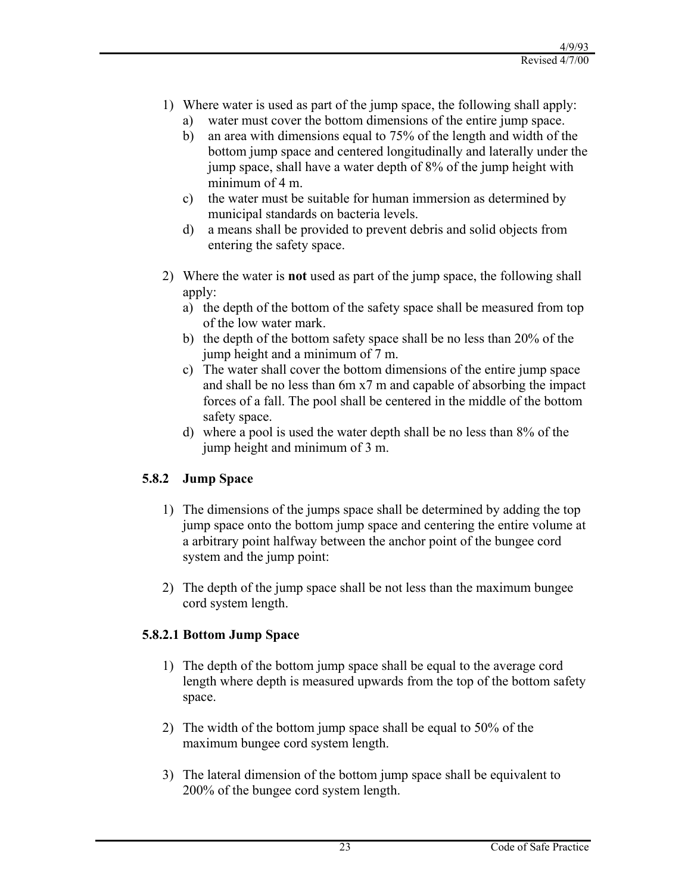- 1) Where water is used as part of the jump space, the following shall apply:
	- a) water must cover the bottom dimensions of the entire jump space.
	- b) an area with dimensions equal to 75% of the length and width of the bottom jump space and centered longitudinally and laterally under the jump space, shall have a water depth of 8% of the jump height with minimum of 4 m.
	- c) the water must be suitable for human immersion as determined by municipal standards on bacteria levels.
	- d) a means shall be provided to prevent debris and solid objects from entering the safety space.
- 2) Where the water is **not** used as part of the jump space, the following shall apply:
	- a) the depth of the bottom of the safety space shall be measured from top of the low water mark.
	- b) the depth of the bottom safety space shall be no less than 20% of the jump height and a minimum of 7 m.
	- c) The water shall cover the bottom dimensions of the entire jump space and shall be no less than 6m x7 m and capable of absorbing the impact forces of a fall. The pool shall be centered in the middle of the bottom safety space.
	- d) where a pool is used the water depth shall be no less than 8% of the jump height and minimum of 3 m.

## **5.8.2 Jump Space**

- 1) The dimensions of the jumps space shall be determined by adding the top jump space onto the bottom jump space and centering the entire volume at a arbitrary point halfway between the anchor point of the bungee cord system and the jump point:
- 2) The depth of the jump space shall be not less than the maximum bungee cord system length.

## **5.8.2.1 Bottom Jump Space**

- 1) The depth of the bottom jump space shall be equal to the average cord length where depth is measured upwards from the top of the bottom safety space.
- 2) The width of the bottom jump space shall be equal to 50% of the maximum bungee cord system length.
- 3) The lateral dimension of the bottom jump space shall be equivalent to 200% of the bungee cord system length.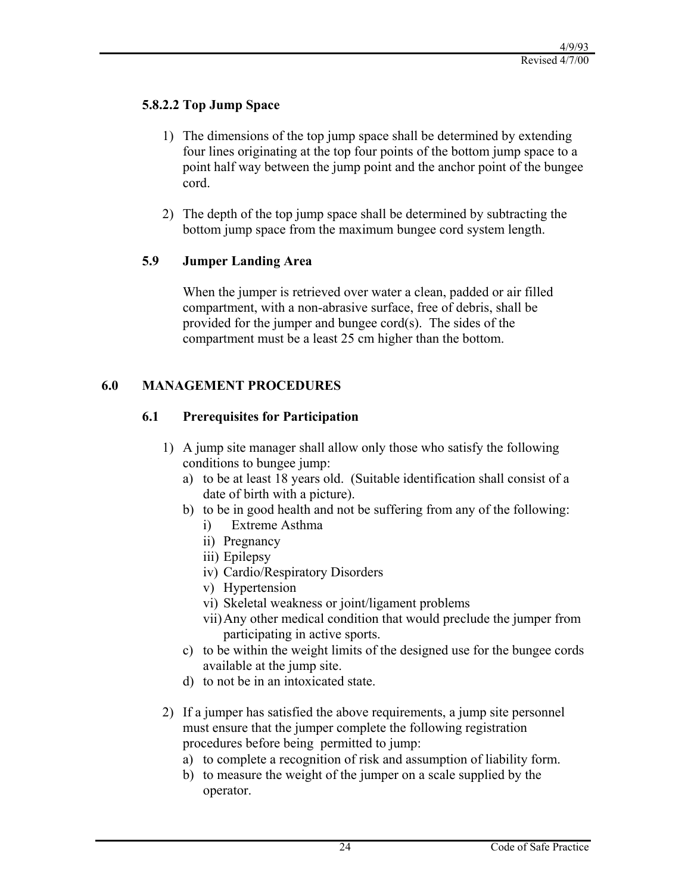#### **5.8.2.2 Top Jump Space**

- 1) The dimensions of the top jump space shall be determined by extending four lines originating at the top four points of the bottom jump space to a point half way between the jump point and the anchor point of the bungee cord.
- 2) The depth of the top jump space shall be determined by subtracting the bottom jump space from the maximum bungee cord system length.

#### **5.9 Jumper Landing Area**

When the jumper is retrieved over water a clean, padded or air filled compartment, with a non-abrasive surface, free of debris, shall be provided for the jumper and bungee cord(s). The sides of the compartment must be a least 25 cm higher than the bottom.

## **6.0 MANAGEMENT PROCEDURES**

#### **6.1 Prerequisites for Participation**

- 1) A jump site manager shall allow only those who satisfy the following conditions to bungee jump:
	- a) to be at least 18 years old. (Suitable identification shall consist of a date of birth with a picture).
	- b) to be in good health and not be suffering from any of the following:
		- i) Extreme Asthma
		- ii) Pregnancy
		- iii) Epilepsy
		- iv) Cardio/Respiratory Disorders
		- v) Hypertension
		- vi) Skeletal weakness or joint/ligament problems
		- vii)Any other medical condition that would preclude the jumper from participating in active sports.
	- c) to be within the weight limits of the designed use for the bungee cords available at the jump site.
	- d) to not be in an intoxicated state.
- 2) If a jumper has satisfied the above requirements, a jump site personnel must ensure that the jumper complete the following registration procedures before being permitted to jump:
	- a) to complete a recognition of risk and assumption of liability form.
	- b) to measure the weight of the jumper on a scale supplied by the operator.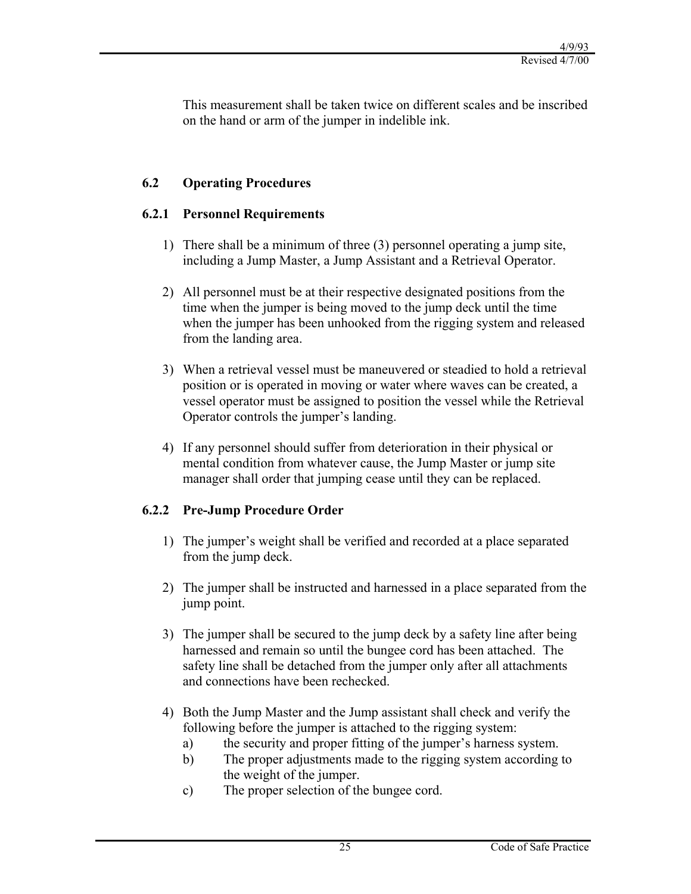This measurement shall be taken twice on different scales and be inscribed on the hand or arm of the jumper in indelible ink.

## **6.2 Operating Procedures**

## **6.2.1 Personnel Requirements**

- 1) There shall be a minimum of three (3) personnel operating a jump site, including a Jump Master, a Jump Assistant and a Retrieval Operator.
- 2) All personnel must be at their respective designated positions from the time when the jumper is being moved to the jump deck until the time when the jumper has been unhooked from the rigging system and released from the landing area.
- 3) When a retrieval vessel must be maneuvered or steadied to hold a retrieval position or is operated in moving or water where waves can be created, a vessel operator must be assigned to position the vessel while the Retrieval Operator controls the jumper's landing.
- 4) If any personnel should suffer from deterioration in their physical or mental condition from whatever cause, the Jump Master or jump site manager shall order that jumping cease until they can be replaced.

## **6.2.2 Pre-Jump Procedure Order**

- 1) The jumper's weight shall be verified and recorded at a place separated from the jump deck.
- 2) The jumper shall be instructed and harnessed in a place separated from the jump point.
- 3) The jumper shall be secured to the jump deck by a safety line after being harnessed and remain so until the bungee cord has been attached. The safety line shall be detached from the jumper only after all attachments and connections have been rechecked.
- 4) Both the Jump Master and the Jump assistant shall check and verify the following before the jumper is attached to the rigging system:
	- a) the security and proper fitting of the jumper's harness system.
	- b) The proper adjustments made to the rigging system according to the weight of the jumper.
	- c) The proper selection of the bungee cord.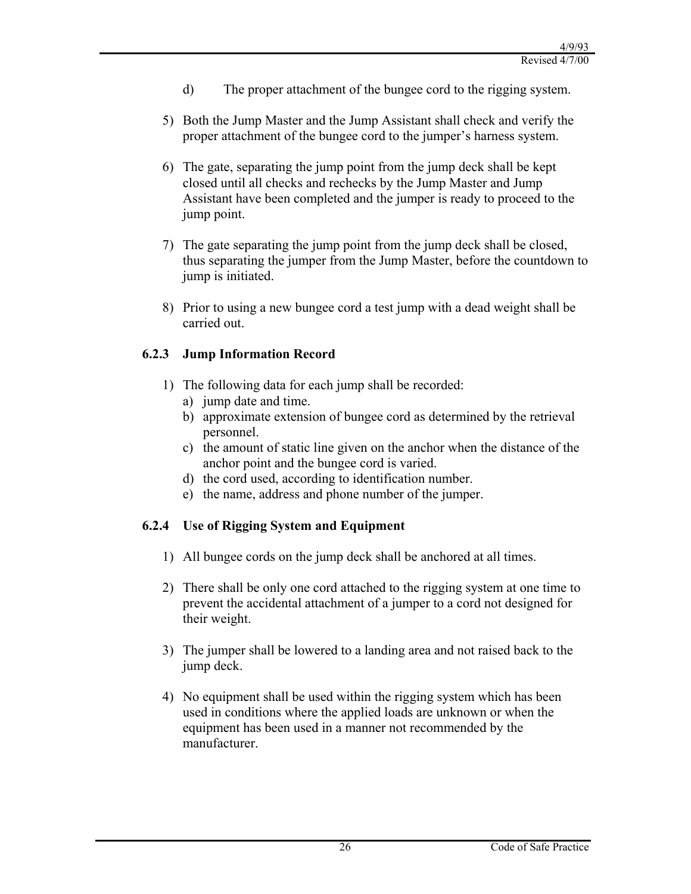- d) The proper attachment of the bungee cord to the rigging system.
- 5) Both the Jump Master and the Jump Assistant shall check and verify the proper attachment of the bungee cord to the jumper's harness system.
- 6) The gate, separating the jump point from the jump deck shall be kept closed until all checks and rechecks by the Jump Master and Jump Assistant have been completed and the jumper is ready to proceed to the jump point.
- 7) The gate separating the jump point from the jump deck shall be closed, thus separating the jumper from the Jump Master, before the countdown to jump is initiated.
- 8) Prior to using a new bungee cord a test jump with a dead weight shall be carried out.

## **6.2.3 Jump Information Record**

- 1) The following data for each jump shall be recorded:
	- a) jump date and time.
	- b) approximate extension of bungee cord as determined by the retrieval personnel.
	- c) the amount of static line given on the anchor when the distance of the anchor point and the bungee cord is varied.
	- d) the cord used, according to identification number.
	- e) the name, address and phone number of the jumper.

## **6.2.4 Use of Rigging System and Equipment**

- 1) All bungee cords on the jump deck shall be anchored at all times.
- 2) There shall be only one cord attached to the rigging system at one time to prevent the accidental attachment of a jumper to a cord not designed for their weight.
- 3) The jumper shall be lowered to a landing area and not raised back to the jump deck.
- 4) No equipment shall be used within the rigging system which has been used in conditions where the applied loads are unknown or when the equipment has been used in a manner not recommended by the manufacturer.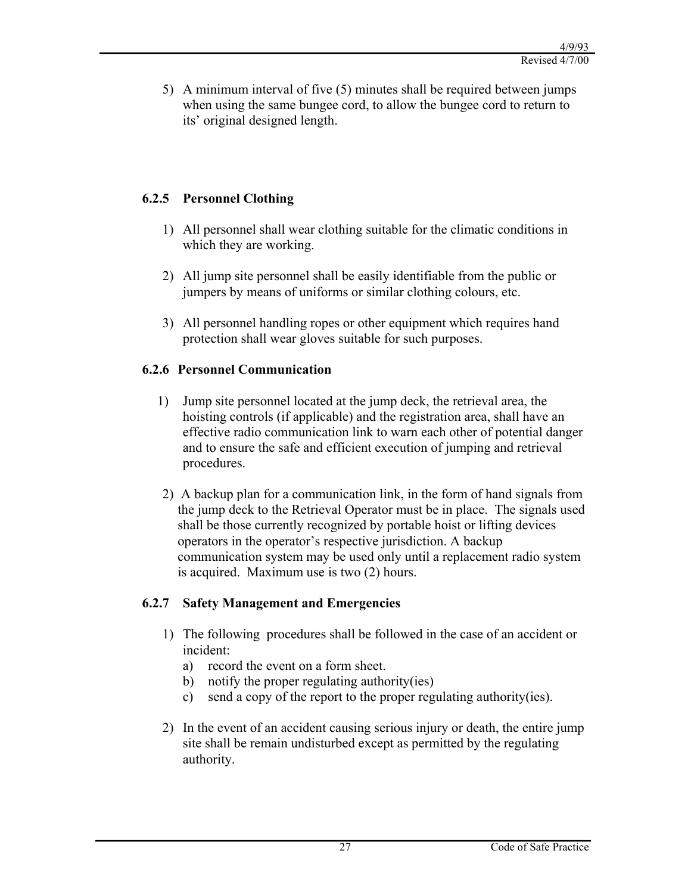5) A minimum interval of five (5) minutes shall be required between jumps when using the same bungee cord, to allow the bungee cord to return to its' original designed length.

## **6.2.5 Personnel Clothing**

- 1) All personnel shall wear clothing suitable for the climatic conditions in which they are working.
- 2) All jump site personnel shall be easily identifiable from the public or jumpers by means of uniforms or similar clothing colours, etc.
- 3) All personnel handling ropes or other equipment which requires hand protection shall wear gloves suitable for such purposes.

## **6.2.6 Personnel Communication**

- 1) Jump site personnel located at the jump deck, the retrieval area, the hoisting controls (if applicable) and the registration area, shall have an effective radio communication link to warn each other of potential danger and to ensure the safe and efficient execution of jumping and retrieval procedures.
- 2) A backup plan for a communication link, in the form of hand signals from the jump deck to the Retrieval Operator must be in place. The signals used shall be those currently recognized by portable hoist or lifting devices operators in the operator's respective jurisdiction. A backup communication system may be used only until a replacement radio system is acquired. Maximum use is two (2) hours.

## **6.2.7 Safety Management and Emergencies**

- 1) The following procedures shall be followed in the case of an accident or incident:
	- a) record the event on a form sheet.
	- b) notify the proper regulating authority(ies)
	- c) send a copy of the report to the proper regulating authority(ies).
- 2) In the event of an accident causing serious injury or death, the entire jump site shall be remain undisturbed except as permitted by the regulating authority.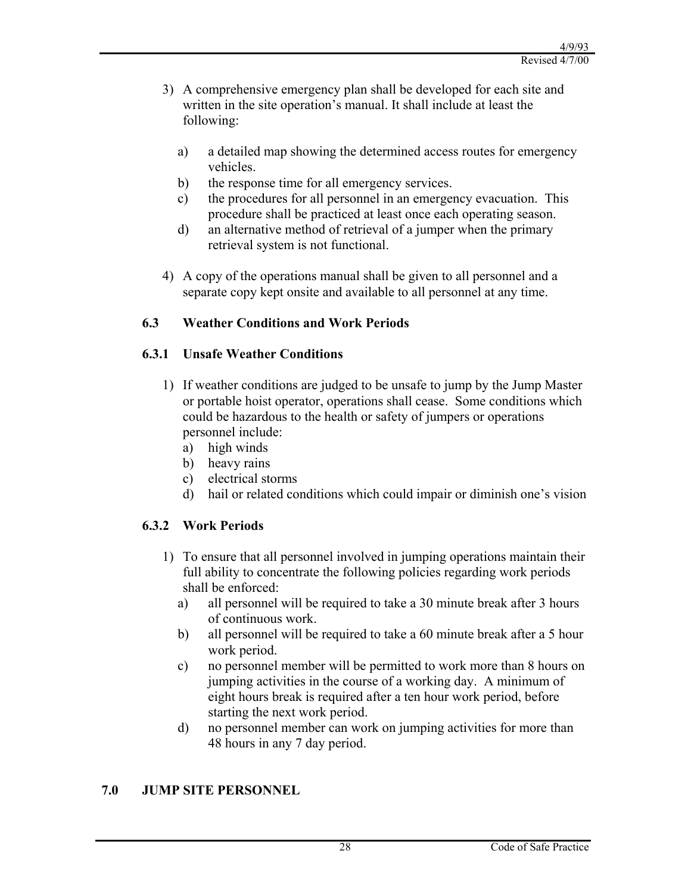- 3) A comprehensive emergency plan shall be developed for each site and written in the site operation's manual. It shall include at least the following:
	- a) a detailed map showing the determined access routes for emergency vehicles.
	- b) the response time for all emergency services.
	- c) the procedures for all personnel in an emergency evacuation. This procedure shall be practiced at least once each operating season.
	- d) an alternative method of retrieval of a jumper when the primary retrieval system is not functional.
- 4) A copy of the operations manual shall be given to all personnel and a separate copy kept onsite and available to all personnel at any time.

## **6.3 Weather Conditions and Work Periods**

## **6.3.1 Unsafe Weather Conditions**

- 1) If weather conditions are judged to be unsafe to jump by the Jump Master or portable hoist operator, operations shall cease. Some conditions which could be hazardous to the health or safety of jumpers or operations personnel include:
	- a) high winds
	- b) heavy rains
	- c) electrical storms
	- d) hail or related conditions which could impair or diminish one's vision

## **6.3.2 Work Periods**

- 1) To ensure that all personnel involved in jumping operations maintain their full ability to concentrate the following policies regarding work periods shall be enforced:
	- a) all personnel will be required to take a 30 minute break after 3 hours of continuous work.
	- b) all personnel will be required to take a 60 minute break after a 5 hour work period.
	- c) no personnel member will be permitted to work more than 8 hours on jumping activities in the course of a working day. A minimum of eight hours break is required after a ten hour work period, before starting the next work period.
	- d) no personnel member can work on jumping activities for more than 48 hours in any 7 day period.

## **7.0 JUMP SITE PERSONNEL**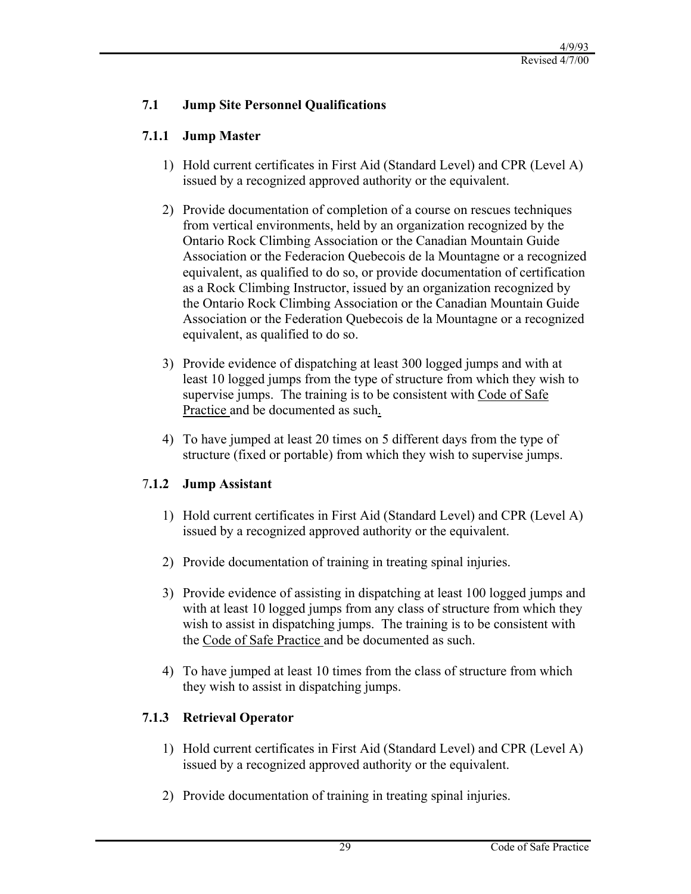## **7.1 Jump Site Personnel Qualifications**

## **7.1.1 Jump Master**

- 1) Hold current certificates in First Aid (Standard Level) and CPR (Level A) issued by a recognized approved authority or the equivalent.
- 2) Provide documentation of completion of a course on rescues techniques from vertical environments, held by an organization recognized by the Ontario Rock Climbing Association or the Canadian Mountain Guide Association or the Federacion Quebecois de la Mountagne or a recognized equivalent, as qualified to do so, or provide documentation of certification as a Rock Climbing Instructor, issued by an organization recognized by the Ontario Rock Climbing Association or the Canadian Mountain Guide Association or the Federation Quebecois de la Mountagne or a recognized equivalent, as qualified to do so.
- 3) Provide evidence of dispatching at least 300 logged jumps and with at least 10 logged jumps from the type of structure from which they wish to supervise jumps. The training is to be consistent with Code of Safe Practice and be documented as such.
- 4) To have jumped at least 20 times on 5 different days from the type of structure (fixed or portable) from which they wish to supervise jumps.

# 7**.1.2 Jump Assistant**

- 1) Hold current certificates in First Aid (Standard Level) and CPR (Level A) issued by a recognized approved authority or the equivalent.
- 2) Provide documentation of training in treating spinal injuries.
- 3) Provide evidence of assisting in dispatching at least 100 logged jumps and with at least 10 logged jumps from any class of structure from which they wish to assist in dispatching jumps. The training is to be consistent with the Code of Safe Practice and be documented as such.
- 4) To have jumped at least 10 times from the class of structure from which they wish to assist in dispatching jumps.

# **7.1.3 Retrieval Operator**

- 1) Hold current certificates in First Aid (Standard Level) and CPR (Level A) issued by a recognized approved authority or the equivalent.
- 2) Provide documentation of training in treating spinal injuries.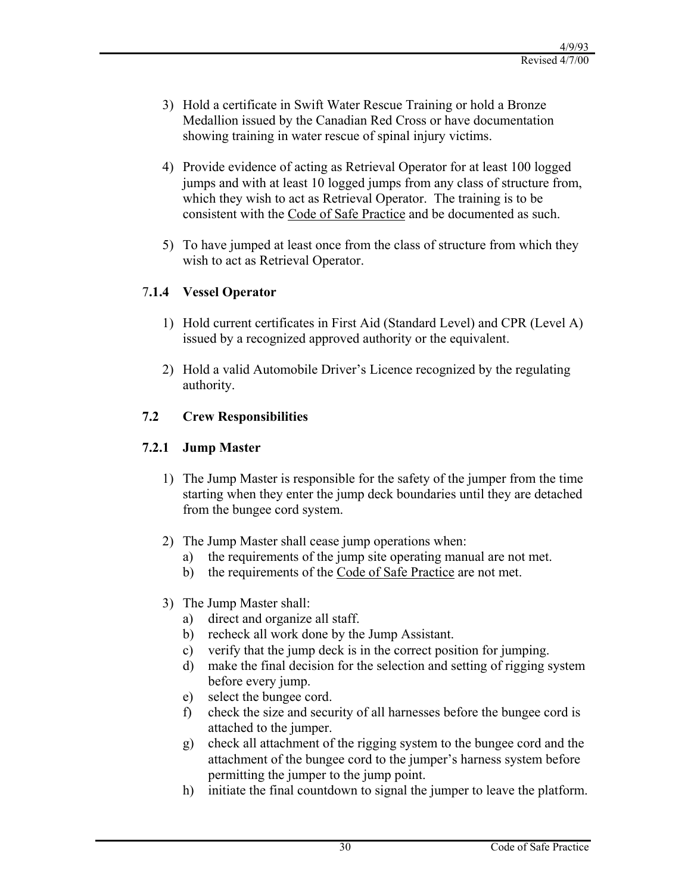- 3) Hold a certificate in Swift Water Rescue Training or hold a Bronze Medallion issued by the Canadian Red Cross or have documentation showing training in water rescue of spinal injury victims.
- 4) Provide evidence of acting as Retrieval Operator for at least 100 logged jumps and with at least 10 logged jumps from any class of structure from, which they wish to act as Retrieval Operator. The training is to be consistent with the Code of Safe Practice and be documented as such.
- 5) To have jumped at least once from the class of structure from which they wish to act as Retrieval Operator.

## 7**.1.4 Vessel Operator**

- 1) Hold current certificates in First Aid (Standard Level) and CPR (Level A) issued by a recognized approved authority or the equivalent.
- 2) Hold a valid Automobile Driver's Licence recognized by the regulating authority.

## **7.2 Crew Responsibilities**

## **7.2.1 Jump Master**

- 1) The Jump Master is responsible for the safety of the jumper from the time starting when they enter the jump deck boundaries until they are detached from the bungee cord system.
- 2) The Jump Master shall cease jump operations when:
	- a) the requirements of the jump site operating manual are not met.
	- b) the requirements of the Code of Safe Practice are not met.
- 3) The Jump Master shall:
	- a) direct and organize all staff.
	- b) recheck all work done by the Jump Assistant.
	- c) verify that the jump deck is in the correct position for jumping.
	- d) make the final decision for the selection and setting of rigging system before every jump.
	- e) select the bungee cord.
	- f) check the size and security of all harnesses before the bungee cord is attached to the jumper.
	- g) check all attachment of the rigging system to the bungee cord and the attachment of the bungee cord to the jumper's harness system before permitting the jumper to the jump point.
	- h) initiate the final countdown to signal the jumper to leave the platform.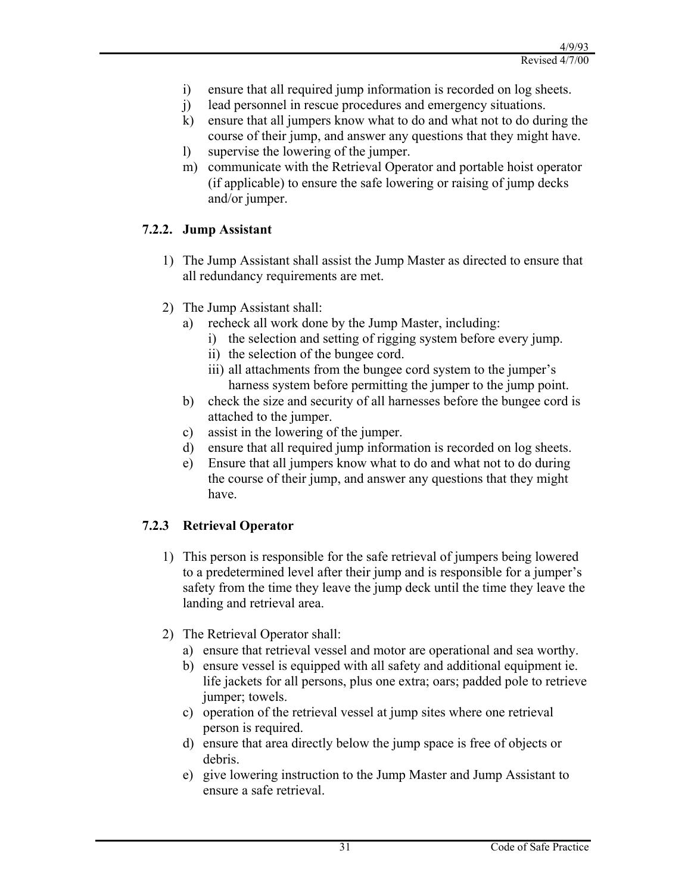- i) ensure that all required jump information is recorded on log sheets.
- j) lead personnel in rescue procedures and emergency situations.
- k) ensure that all jumpers know what to do and what not to do during the course of their jump, and answer any questions that they might have.
- l) supervise the lowering of the jumper.
- m) communicate with the Retrieval Operator and portable hoist operator (if applicable) to ensure the safe lowering or raising of jump decks and/or jumper.

## **7.2.2. Jump Assistant**

- 1) The Jump Assistant shall assist the Jump Master as directed to ensure that all redundancy requirements are met.
- 2) The Jump Assistant shall:
	- a) recheck all work done by the Jump Master, including:
		- i) the selection and setting of rigging system before every jump.
		- ii) the selection of the bungee cord.
		- iii) all attachments from the bungee cord system to the jumper's harness system before permitting the jumper to the jump point.
	- b) check the size and security of all harnesses before the bungee cord is attached to the jumper.
	- c) assist in the lowering of the jumper.
	- d) ensure that all required jump information is recorded on log sheets.
	- e) Ensure that all jumpers know what to do and what not to do during the course of their jump, and answer any questions that they might have.

## **7.2.3 Retrieval Operator**

- 1) This person is responsible for the safe retrieval of jumpers being lowered to a predetermined level after their jump and is responsible for a jumper's safety from the time they leave the jump deck until the time they leave the landing and retrieval area.
- 2) The Retrieval Operator shall:
	- a) ensure that retrieval vessel and motor are operational and sea worthy.
	- b) ensure vessel is equipped with all safety and additional equipment ie. life jackets for all persons, plus one extra; oars; padded pole to retrieve jumper; towels.
	- c) operation of the retrieval vessel at jump sites where one retrieval person is required.
	- d) ensure that area directly below the jump space is free of objects or debris.
	- e) give lowering instruction to the Jump Master and Jump Assistant to ensure a safe retrieval.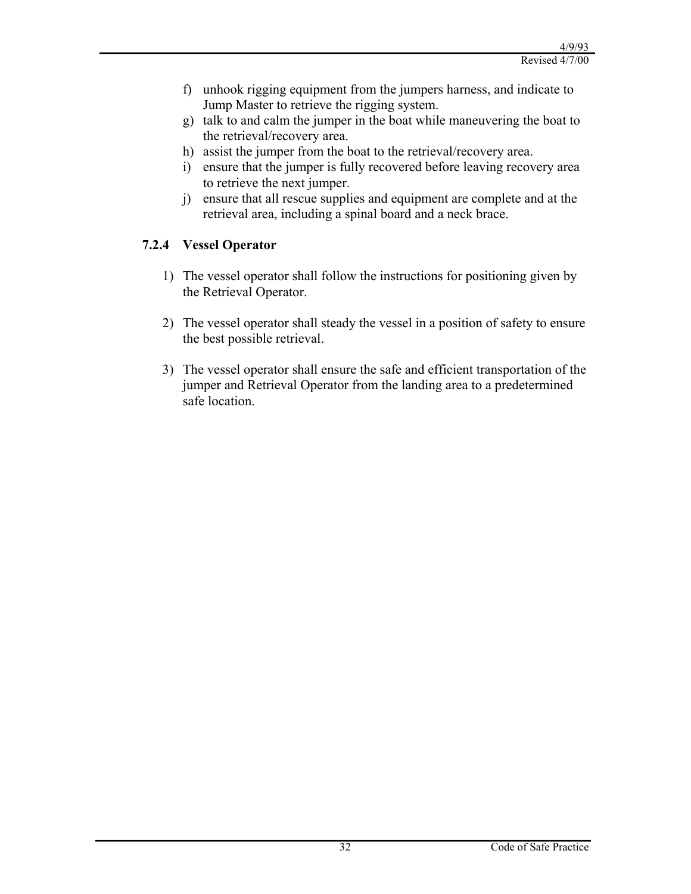- f) unhook rigging equipment from the jumpers harness, and indicate to Jump Master to retrieve the rigging system.
- g) talk to and calm the jumper in the boat while maneuvering the boat to the retrieval/recovery area.
- h) assist the jumper from the boat to the retrieval/recovery area.
- i) ensure that the jumper is fully recovered before leaving recovery area to retrieve the next jumper.
- j) ensure that all rescue supplies and equipment are complete and at the retrieval area, including a spinal board and a neck brace.

## **7.2.4 Vessel Operator**

- 1) The vessel operator shall follow the instructions for positioning given by the Retrieval Operator.
- 2) The vessel operator shall steady the vessel in a position of safety to ensure the best possible retrieval.
- 3) The vessel operator shall ensure the safe and efficient transportation of the jumper and Retrieval Operator from the landing area to a predetermined safe location.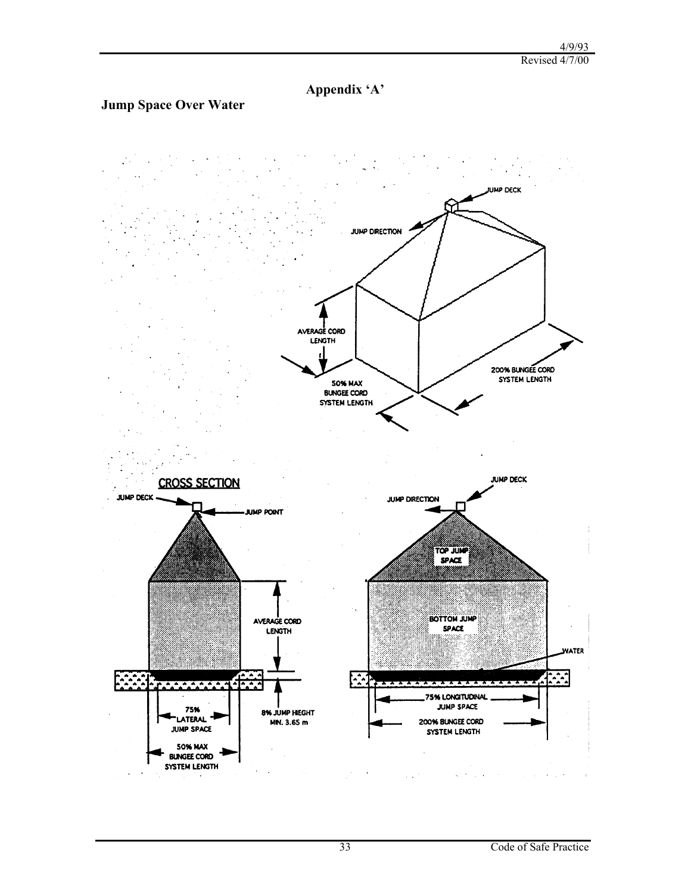**Appendix 'A'**

## **Jump Space Over Water**